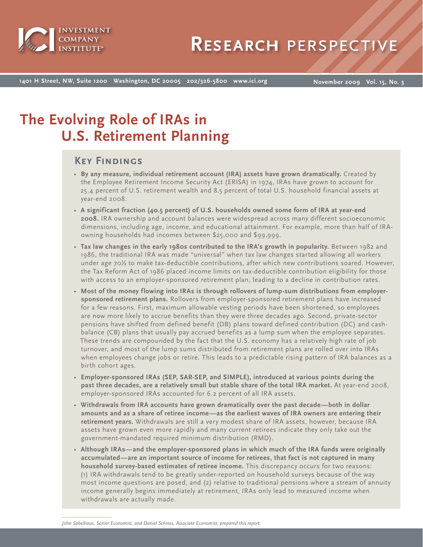

**1401 H Street, NW, Suite 1200 Washington, DC 20005 202/326-5800 www.ici.org**

**November 2009 Vol. 15, No. 3**

# **The Evolving Role of IRAs in U.S. Retirement Planning**

# **Key Findings**

- **By any measure, individual retirement account (IRA) assets have grown dramatically.** Created by the Employee Retirement Income Security Act (ERISA) in 1974, IRAs have grown to account for 25.4 percent of U.S. retirement wealth and 8.5 percent of total U.S. household financial assets at year-end 2008.
- **A significant fraction (40.5 percent) of U.S. households owned some form of IRA at year-end 2008.** IRA ownership and account balances were widespread across many different socioeconomic dimensions, including age, income, and educational attainment. For example, more than half of IRAowning households had incomes between \$25,000 and \$99,999.
- **Tax law changes in the early 1980s contributed to the IRA's growth in popularity.** Between 1982 and 1986, the traditional IRA was made "universal" when tax law changes started allowing all workers under age 70½ to make tax-deductible contributions, after which new contributions soared. However, the Tax Reform Act of 1986 placed income limits on tax-deductible contribution eligibility for those with access to an employer-sponsored retirement plan, leading to a decline in contribution rates.
- **Most of the money flowing into IRAs is through rollovers of lump-sum distributions from employersponsored retirement plans.** Rollovers from employer-sponsored retirement plans have increased for a few reasons. First, maximum allowable vesting periods have been shortened, so employees are now more likely to accrue benefits than they were three decades ago. Second, private-sector pensions have shifted from defined benefit (DB) plans toward defined contribution (DC) and cashbalance (CB) plans that usually pay accrued benefits as a lump sum when the employee separates. These trends are compounded by the fact that the U.S. economy has a relatively high rate of job turnover, and most of the lump sums distributed from retirement plans are rolled over into IRAs when employees change jobs or retire. This leads to a predictable rising pattern of IRA balances as a birth cohort ages.
- **Employer-sponsored IRAs (SEP, SAR-SEP, and SIMPLE), introduced at various points during the past three decades, are a relatively small but stable share of the total IRA market.** At year-end 2008, employer-sponsored IRAs accounted for 6.2 percent of all IRA assets.
- **Withdrawals from IRA accounts have grown dramatically over the past decade—both in dollar amounts and as a share of retiree income—as the earliest waves of IRA owners are entering their retirement years.** Withdrawals are still a very modest share of IRA assets, however, because IRA assets have grown even more rapidly and many current retirees indicate they only take out the government-mandated required minimum distribution (RMD).
- **Although IRAs—and the employer-sponsored plans in which much of the IRA funds were originally accumulated—are an important source of income for retirees, that fact is not captured in many household survey-based estimates of retiree income.** This discrepancy occurs for two reasons: (1) IRA withdrawals tend to be greatly under-reported on household surveys because of the way most income questions are posed, and (2) relative to traditional pensions where a stream of annuity income generally begins immediately at retirement, IRAs only lead to measured income when withdrawals are actually made.

*John Sabelhaus, Senior Economist, and Daniel Schrass, Associate Economist, prepared this report.*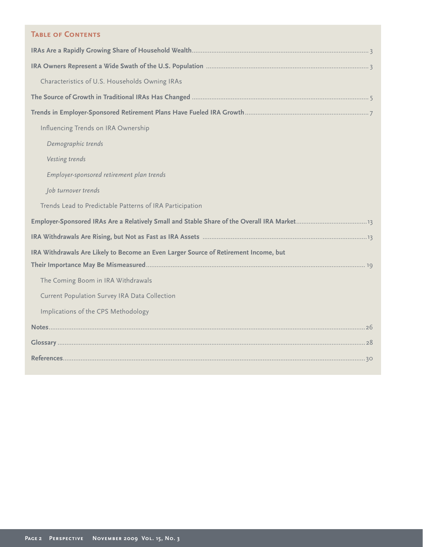# **Table of Contents**

| Characteristics of U.S. Households Owning IRAs                                       |  |  |  |  |
|--------------------------------------------------------------------------------------|--|--|--|--|
|                                                                                      |  |  |  |  |
|                                                                                      |  |  |  |  |
| Influencing Trends on IRA Ownership                                                  |  |  |  |  |
| Demographic trends                                                                   |  |  |  |  |
| Vesting trends                                                                       |  |  |  |  |
| Employer-sponsored retirement plan trends                                            |  |  |  |  |
| Job turnover trends                                                                  |  |  |  |  |
| Trends Lead to Predictable Patterns of IRA Participation                             |  |  |  |  |
|                                                                                      |  |  |  |  |
|                                                                                      |  |  |  |  |
| IRA Withdrawals Are Likely to Become an Even Larger Source of Retirement Income, but |  |  |  |  |
|                                                                                      |  |  |  |  |
| The Coming Boom in IRA Withdrawals                                                   |  |  |  |  |
| Current Population Survey IRA Data Collection                                        |  |  |  |  |
| Implications of the CPS Methodology                                                  |  |  |  |  |
|                                                                                      |  |  |  |  |
|                                                                                      |  |  |  |  |
|                                                                                      |  |  |  |  |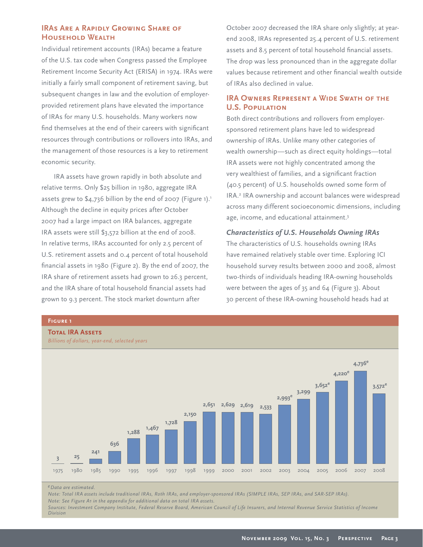# **IRAS ARE A RAPIDLY GROWING SHARE OF Household Wealth**

Individual retirement accounts (IRAs) became a feature of the U.S. tax code when Congress passed the Employee Retirement Income Security Act (ERISA) in 1974. IRAs were initially a fairly small component of retirement saving, but subsequent changes in law and the evolution of employerprovided retirement plans have elevated the importance of IRAs for many U.S. households. Many workers now find themselves at the end of their careers with significant resources through contributions or rollovers into IRAs, and the management of those resources is a key to retirement economic security.

IRA assets have grown rapidly in both absolute and relative terms. Only \$25 billion in 1980, aggregate IRA assets grew to  $$4,736$  billion by the end of 2007 (Figure 1).<sup>1</sup> Although the decline in equity prices after October 2007 had a large impact on IRA balances, aggregate IRA assets were still \$3,572 billion at the end of 2008. In relative terms, IRAs accounted for only 2.5 percent of U.S. retirement assets and 0.4 percent of total household financial assets in 1980 (Figure 2). By the end of 2007, the IRA share of retirement assets had grown to 26.3 percent, and the IRA share of total household financial assets had grown to 9.3 percent. The stock market downturn after

October 2007 decreased the IRA share only slightly; at yearend 2008, IRAs represented 25.4 percent of U.S. retirement assets and 8.5 percent of total household financial assets. The drop was less pronounced than in the aggregate dollar values because retirement and other financial wealth outside of IRAs also declined in value.

# **IRA OWNERS REPRESENT A WIDE SWATH OF THE U.S. Population**

Both direct contributions and rollovers from employersponsored retirement plans have led to widespread ownership of IRAs. Unlike many other categories of wealth ownership—such as direct equity holdings—total IRA assets were not highly concentrated among the very wealthiest of families, and a significant fraction (40.5 percent) of U.S. households owned some form of IRA.2 IRA ownership and account balances were widespread across many different socioeconomic dimensions, including age, income, and educational attainment.3

# *Characteristics of U.S. Households Owning IRAs*

The characteristics of U.S. households owning IRAs have remained relatively stable over time. Exploring ICI household survey results between 2000 and 2008, almost two-thirds of individuals heading IRA-owning households were between the ages of 35 and 64 (Figure 3). About 30 percent of these IRA-owning household heads had at

### **Figure 1**

#### **Total IRA Assets**





#### *eData are estimated.*

*Note: Total IRA assets include traditional IRAs, Roth IRAs, and employer-sponsored IRAs (SIMPLE IRAs, SEP IRAs, and SAR-SEP IRAs).*

*Note: See Figure A1 in the appendix for additional data on total IRA assets.*

*Sources: Investment Company Institute, Federal Reserve Board, American Council of Life Insurers, and Internal Revenue Service Statistics of Income Division*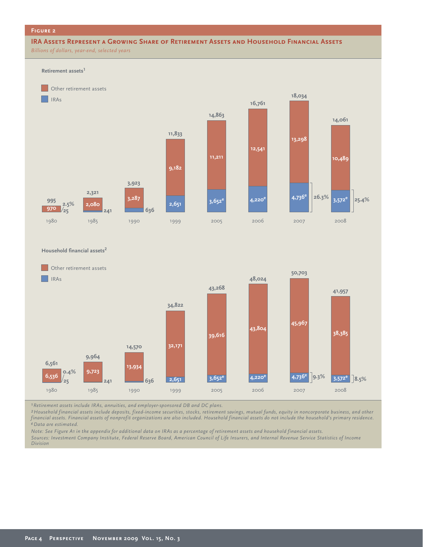#### **Figure 2**

### **IRA Assets Represent a Growing Share of Retirement Assets and Household Financial Assets**

*Billions of dollars, year-end, selected years*



*1Retirement assets include IRAs, annuities, and employer-sponsored DB and DC plans.*

**9,964**

**6,561**

**9,723 6,536**

**14,570**

**13,934**

*2Household financial assets include deposits, fixed-income securities, stocks, retirement savings, mutual funds, equity in noncorporate business, and other financial assets. Financial assets of nonprofit organizations are also included. Household financial assets do not include the household's primary residence. eData are estimated.*

**3,572 8.5% 4,736 <sup>e</sup> <sup>e</sup> 4,220<sup>e</sup> 3,652<sup>e</sup> 2,651 <sup>25</sup> <sup>241</sup> <sup>636</sup>**

**39,616**

**38,385**

**45,967**

**43,804**

*Note: See Figure A1 in the appendix for additional data on IRAs as a percentage of retirement assets and household financial assets. Sources: Investment Company Institute, Federal Reserve Board, American Council of Life Insurers, and Internal Revenue Service Statistics of Income Division*

1980 1985 1990 1999 2005 2006 2007 2008

**0.4% 9.723 1.4.220<sup>e</sup> 1.4.220<sup>e</sup> 1.4.220<sup>e</sup> 1.736<sup>e</sup> 1.3%** 

**34,822**

**32,171**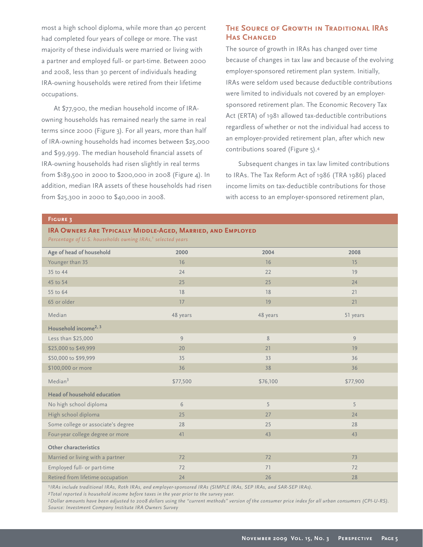most a high school diploma, while more than 40 percent had completed four years of college or more. The vast majority of these individuals were married or living with a partner and employed full- or part-time. Between 2000 and 2008, less than 30 percent of individuals heading IRA-owning households were retired from their lifetime occupations.

At \$77,900, the median household income of IRAowning households has remained nearly the same in real terms since 2000 (Figure 3). For all years, more than half of IRA-owning households had incomes between \$25,000 and \$99,999. The median household financial assets of IRA-owning households had risen slightly in real terms from \$189,500 in 2000 to \$200,000 in 2008 (Figure 4). In addition, median IRA assets of these households had risen from \$25,300 in 2000 to \$40,000 in 2008.

# **The Source of Growth in Traditional IRAs Has Changed**

The source of growth in IRAs has changed over time because of changes in tax law and because of the evolving employer-sponsored retirement plan system. Initially, IRAs were seldom used because deductible contributions were limited to individuals not covered by an employersponsored retirement plan. The Economic Recovery Tax Act (ERTA) of 1981 allowed tax-deductible contributions regardless of whether or not the individual had access to an employer-provided retirement plan, after which new contributions soared (Figure 5).4

Subsequent changes in tax law limited contributions to IRAs. The Tax Reform Act of 1986 (TRA 1986) placed income limits on tax-deductible contributions for those with access to an employer-sponsored retirement plan,

### **Figure 3**

### **IRA Owners Are Typically Middle-Aged, Married, and Employed** Percentage of U.S. households owning IRAs,<sup>1</sup> selected years

| Age of head of household           | 2000            | 2004     | 2008           |
|------------------------------------|-----------------|----------|----------------|
| Younger than 35                    | 16              | 16       | 15             |
| 35 to 44                           | 24              | 22       | 19             |
| 45 to 54                           | 25              | 25       | 24             |
| 55 to 64                           | 18              | 18       | 21             |
| 65 or older                        | 17              | 19       | 21             |
| Median                             | 48 years        | 48 years | 51 years       |
| Household income <sup>2, 3</sup>   |                 |          |                |
| Less than \$25,000                 | $\overline{9}$  | 8        | $\overline{9}$ |
| \$25,000 to \$49,999               | 20              | 21       | 19             |
| \$50,000 to \$99,999               | 35              | 33       | 36             |
| \$100,000 or more                  | 36              | 38       | 36             |
| Median <sup>3</sup>                | \$77,500        | \$76,100 | \$77,900       |
| Head of household education        |                 |          |                |
| No high school diploma             | $6\phantom{.}6$ | 5        | 5              |
| High school diploma                | 25              | 27       | 24             |
| Some college or associate's degree | 28              | 25       | 28             |
| Four-year college degree or more   | 41              | 43       | 43             |
| Other characteristics              |                 |          |                |
| Married or living with a partner   | 72              | 72       | 73             |
| Employed full- or part-time        | 72              | 71       | 72             |
| Retired from lifetime occupation   | 24              | 26       | 28             |

*1IRAs include traditional IRAs, Roth IRAs, and employer-sponsored IRAs (SIMPLE IRAs, SEP IRAs, and SAR-SEP IRAs).*

*2Total reported is household income before taxes in the year prior to the survey year.*

*3Dollar amounts have been adjusted to 2008 dollars using the "current methods" version of the consumer price index for all urban consumers (CPI-U-RS). Source: Investment Company Institute IRA Owners Survey*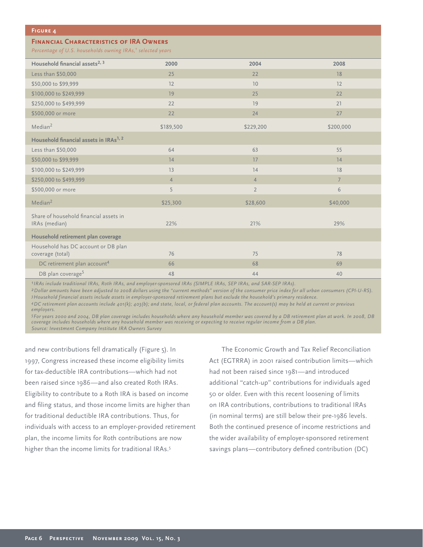| <b>FINANCIAL CHARACTERISTICS OF IRA OWNERS</b><br>Percentage of U.S. households owning IRAs, <sup>1</sup> selected years |                |                |                 |  |  |  |
|--------------------------------------------------------------------------------------------------------------------------|----------------|----------------|-----------------|--|--|--|
| Household financial assets <sup>2, 3</sup>                                                                               | 2000           | 2004           | 2008            |  |  |  |
| Less than \$50,000                                                                                                       | 25             | 22             | 18              |  |  |  |
| \$50,000 to \$99,999                                                                                                     | 12             | 10             | 12              |  |  |  |
| \$100,000 to \$249,999                                                                                                   | 19             | 25             | 22              |  |  |  |
| \$250,000 to \$499,999                                                                                                   | 22             | 19             | 21              |  |  |  |
| \$500,000 or more                                                                                                        | 22             | 24             | 27              |  |  |  |
| Median <sup>2</sup>                                                                                                      | \$189,500      | \$229,200      | \$200,000       |  |  |  |
| Household financial assets in IRAs <sup>1, 2</sup>                                                                       |                |                |                 |  |  |  |
| Less than \$50,000                                                                                                       | 64             | 63             | 55              |  |  |  |
| \$50,000 to \$99,999                                                                                                     | 14             | 17             | 14              |  |  |  |
| \$100,000 to \$249,999                                                                                                   | 13             | 14             | 18              |  |  |  |
| \$250,000 to \$499,999                                                                                                   | $\overline{4}$ | $\overline{4}$ | $7\overline{ }$ |  |  |  |
| \$500,000 or more                                                                                                        | 5              | $\overline{2}$ | 6               |  |  |  |
| Median <sup>2</sup>                                                                                                      | \$25,300       | \$28,600       | \$40,000        |  |  |  |
| Share of household financial assets in<br>IRAs (median)                                                                  | 22%            | 21%            | 29%             |  |  |  |
| Household retirement plan coverage                                                                                       |                |                |                 |  |  |  |
| Household has DC account or DB plan<br>coverage (total)                                                                  | 76             | 75             | 78              |  |  |  |
| DC retirement plan account <sup>4</sup>                                                                                  | 66             | 68             | 69              |  |  |  |
| DB plan coverage <sup>5</sup>                                                                                            | 48             | 44             | 40              |  |  |  |

*1IRAs include traditional IRAs, Roth IRAs, and employer-sponsored IRAs (SIMPLE IRAs, SEP IRAs, and SAR-SEP IRAs).*

*2Dollar amounts have been adjusted to 2008 dollars using the "current methods" version of the consumer price index for all urban consumers (CPI-U-RS). 3Household financial assets include assets in employer-sponsored retirement plans but exclude the household's primary residence.*

*4DC retirement plan accounts include 401(k); 403(b); and state, local, or federal plan accounts. The account(s) may be held at current or previous employers.*

*5For years 2000 and 2004, DB plan coverage includes households where any household member was covered by a DB retirement plan at work. In 2008, DB coverage includes households where any household member was receiving or expecting to receive regular income from a DB plan. Source: Investment Company Institute IRA Owners Survey*

and new contributions fell dramatically (Figure 5). In 1997, Congress increased these income eligibility limits for tax-deductible IRA contributions—which had not been raised since 1986—and also created Roth IRAs. Eligibility to contribute to a Roth IRA is based on income and filing status, and those income limits are higher than for traditional deductible IRA contributions. Thus, for individuals with access to an employer-provided retirement plan, the income limits for Roth contributions are now higher than the income limits for traditional IRAs.<sup>5</sup>

**Figure 4**

The Economic Growth and Tax Relief Reconciliation Act (EGTRRA) in 2001 raised contribution limits—which had not been raised since 1981—and introduced additional "catch-up" contributions for individuals aged 50 or older. Even with this recent loosening of limits on IRA contributions, contributions to traditional IRAs (in nominal terms) are still below their pre-1986 levels. Both the continued presence of income restrictions and the wider availability of employer-sponsored retirement savings plans—contributory defined contribution (DC)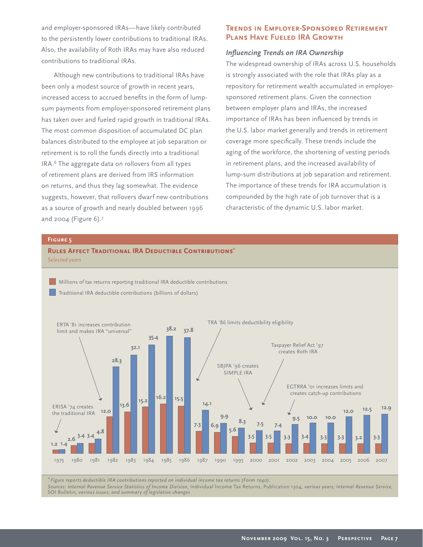and employer-sponsored IRAs—have likely contributed to the persistently lower contributions to traditional IRAs. Also, the availability of Roth IRAs may have also reduced contributions to traditional IRAs.

Although new contributions to traditional IRAs have been only a modest source of growth in recent years, increased access to accrued benefits in the form of lumpsum payments from employer-sponsored retirement plans has taken over and fueled rapid growth in traditional IRAs. The most common disposition of accumulated DC plan balances distributed to the employee at job separation or retirement is to roll the funds directly into a traditional IRA.6 The aggregate data on rollovers from all types of retirement plans are derived from IRS information on returns, and thus they lag somewhat. The evidence suggests, however, that rollovers dwarf new contributions as a source of growth and nearly doubled between 1996 and 2004 (Figure 6).7

# **Trends in Employer-Sponsored Retirement Plans Have Fueled IRA Growth**

### **Influencing Trends on IRA Ownership**

The widespread ownership of IRAs across U.S. households is strongly associated with the role that IRAs play as a repository for retirement wealth accumulated in employersponsored retirement plans. Given the connection between employer plans and IRAs, the increased importance of IRAs has been influenced by trends in the U.S. labor market generally and trends in retirement coverage more specifically. These trends include the aging of the workforce, the shortening of vesting periods in retirement plans, and the increased availability of lump-sum distributions at job separation and retirement. The importance of these trends for IRA accumulation is compounded by the high rate of job turnover that is a characteristic of the dynamic U.S. labor market.

### **Figure 5**

**RULES AFFECT TRADITIONAL IRA DEDUCTIBLE CONTRIBUTIONS\*** *Selected years*

Millions of tax returns reporting traditional IRA deductible contributions



Traditional IRA deductible contributions (billions of dollars)

*\*Figure reports deductible IRA contributions reported on individual income tax returns (Form 1040).*

*Sources: Internal Revenue Service Statistics of Income Division,* Individual Income Tax Returns, Publication 1304*, various years; Internal Revenue Service,*  SOI Bulletin*, various issues; and summary of legislative changes*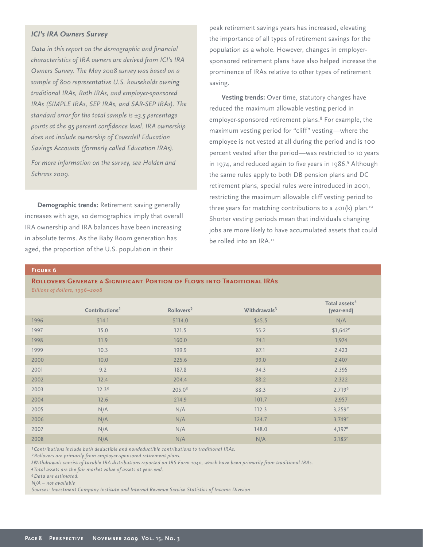### *ICI's IRA Owners Survey*

Data in this report on the demographic and financial *characteristics of IRA owners are derived from ICI's IRA Owners Survey. The May 2008 survey was based on a sample of 800 representative U.S. households owning traditional IRAs, Roth IRAs, and employer-sponsored IRAs (SIMPLE IRAs, SEP IRAs, and SAR-SEP IRAs). The standard error for the total sample is ±3.5 percentage*  points at the 95 percent confidence level. IRA ownership *does not include ownership of Coverdell Education Savings Accounts (formerly called Education IRAs).* 

*For more information on the survey, see Holden and Schrass 2009.* 

**Demographic trends:** Retirement saving generally increases with age, so demographics imply that overall IRA ownership and IRA balances have been increasing in absolute terms. As the Baby Boom generation has aged, the proportion of the U.S. population in their

peak retirement savings years has increased, elevating the importance of all types of retirement savings for the population as a whole. However, changes in employersponsored retirement plans have also helped increase the prominence of IRAs relative to other types of retirement saving.

**Vesting trends:** Over time, statutory changes have reduced the maximum allowable vesting period in employer-sponsored retirement plans.<sup>8</sup> For example, the maximum vesting period for "cliff" vesting—where the employee is not vested at all during the period and is 100 percent vested after the period—was restricted to 10 years in 1974, and reduced again to five years in 1986.<sup>9</sup> Although the same rules apply to both DB pension plans and DC retirement plans, special rules were introduced in 2001, restricting the maximum allowable cliff vesting period to three years for matching contributions to a 401(k) plan.10 Shorter vesting periods mean that individuals changing jobs are more likely to have accumulated assets that could be rolled into an IRA.<sup>11</sup>

### **Figure 6**

# **ROLLOVERS GENERATE A SIGNIFICANT PORTION OF FLOWS INTO TRADITIONAL IRAS**

*Billions of dollars, 1996–2008*

|      | Contributions <sup>1</sup> | Rollovers <sup>2</sup> | Withdrawals <sup>3</sup> | Total assets <sup>4</sup><br>(year-end) |
|------|----------------------------|------------------------|--------------------------|-----------------------------------------|
| 1996 | \$14.1                     | \$114.0                | \$45.5                   | N/A                                     |
| 1997 | 15.0                       | 121.5                  | 55.2                     | $$1,642$ <sup>e</sup>                   |
| 1998 | 11.9                       | 160.0                  | 74.1                     | 1,974                                   |
| 1999 | 10.3                       | 199.9                  | 87.1                     | 2,423                                   |
| 2000 | 10.0                       | 225.6                  | 99.0                     | 2,407                                   |
| 2001 | 9.2                        | 187.8                  | 94.3                     | 2,395                                   |
| 2002 | 12.4                       | 204.4                  | 88.2                     | 2,322                                   |
| 2003 | $12.3^e$                   | $205.0^e$              | 88.3                     | $2,719^e$                               |
| 2004 | 12.6                       | 214.9                  | 101.7                    | 2,957                                   |
| 2005 | N/A                        | N/A                    | 112.3                    | $3,259^e$                               |
| 2006 | N/A                        | N/A                    | 124.7                    | $3,749^e$                               |
| 2007 | N/A                        | N/A                    | 148.0                    | $4,197^e$                               |
| 2008 | N/A                        | N/A                    | N/A                      | $3,183^e$                               |

*1Contributions include both deductible and nondeductible contributions to traditional IRAs.*

*2Rollovers are primarily from employer-sponsored retirement plans.*

*3Withdrawals consist of taxable IRA distributions reported on IRS Form 1040, which have been primarily from traditional IRAs.*

*4Total assets are the fair market value of assets at year-end.*

*eData are estimated.*

*N/A = not available*

*Sources: Investment Company Institute and Internal Revenue Service Statistics of Income Division*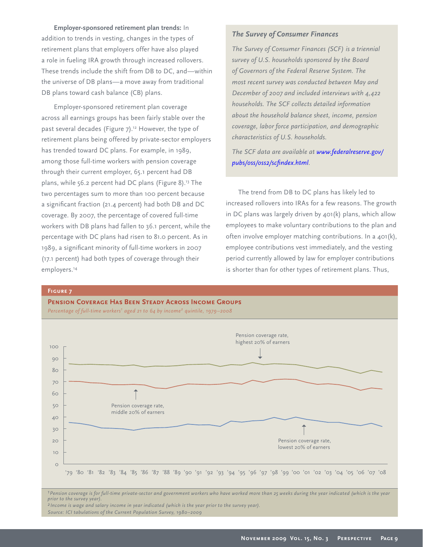**Employer-sponsored retirement plan trends:** In addition to trends in vesting, changes in the types of retirement plans that employers offer have also played a role in fueling IRA growth through increased rollovers. These trends include the shift from DB to DC, and—within the universe of DB plans—a move away from traditional DB plans toward cash balance (CB) plans.

Employer-sponsored retirement plan coverage across all earnings groups has been fairly stable over the past several decades (Figure 7).<sup>12</sup> However, the type of retirement plans being offered by private-sector employers has trended toward DC plans. For example, in 1989, among those full-time workers with pension coverage through their current employer, 65.1 percent had DB plans, while 56.2 percent had DC plans (Figure 8).13 The two percentages sum to more than 100 percent because a significant fraction (21.4 percent) had both DB and DC coverage. By 2007, the percentage of covered full-time workers with DB plans had fallen to 36.1 percent, while the percentage with DC plans had risen to 81.0 percent. As in 1989, a significant minority of full-time workers in 2007 (17.1 percent) had both types of coverage through their employers.14

# *The Survey of Consumer Finances*

*The Survey of Consumer Finances (SCF) is a triennial survey of U.S. households sponsored by the Board of Governors of the Federal Reserve System. The most recent survey was conducted between May and December of 2007 and included interviews with 4,422 households. The SCF collects detailed information about the household balance sheet, income, pension coverage, labor force participation, and demographic characteristics of U.S. households.* 

*The SCF data are available a[t www.federalreserve.gov/](http://www.federalreserve.gov/pubs/oss/oss2/scfindex.html) [pubs/oss/oss2/scfi ndex.html.](http://www.federalreserve.gov/pubs/oss/oss2/scfindex.html)*

The trend from DB to DC plans has likely led to increased rollovers into IRAs for a few reasons. The growth in DC plans was largely driven by 401(k) plans, which allow employees to make voluntary contributions to the plan and often involve employer matching contributions. In a 401(k), employee contributions vest immediately, and the vesting period currently allowed by law for employer contributions is shorter than for other types of retirement plans. Thus,

### **Figure 7**

**Pension Coverage Has Been Steady Across Income Groups**

*Percentage of full-time workers<sup>1</sup> aged 21 to 64 by income2 quintile, 1979–2008*  $\circ$ 10 20 30 40 50 60 70 80 90 100 '79 '80 '81 '82 '83 '84 '85 '86 '87 '88 '89 '90 '91 '92 '93 '94 '95 '96 '97 '98 '99 '00 '01 '02 '03 '04 '05 '06 '07 '08 Pension coverage rate, highest 20% of earners Pension coverage rate, middle 20% of earners Pension coverage rate, lowest 20% of earners

*1Pension coverage is for full-time private-sector and government workers who have worked more than 25 weeks during the year indicated (which is the year prior to the survey year).*

*2 Income is wage and salary income in year indicated (which is the year prior to the survey year). Source: ICI tabulations of the Current Population Survey, 1980–2009*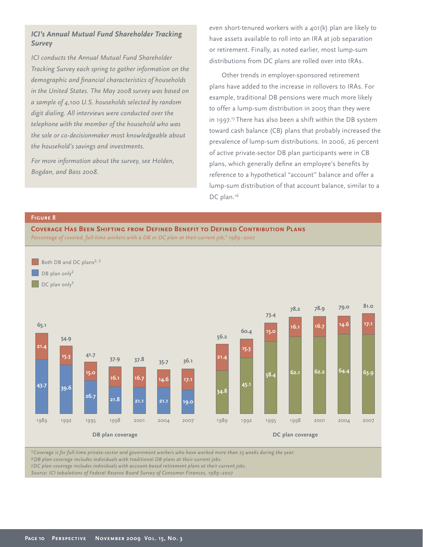# *ICI's Annual Mutual Fund Shareholder Tracking Survey*

*ICI conducts the Annual Mutual Fund Shareholder Tracking Survey each spring to gather information on the*  demographic and financial characteristics of households *in the United States. The May 2008 survey was based on a sample of 4,100 U.S. households selected by random digit dialing. All interviews were conducted over the telephone with the member of the household who was the sole or co-decisionmaker most knowledgeable about the household's savings and investments.*

*For more information about the survey, see Holden, Bogdan, and Bass 2008.*

even short-tenured workers with a 401(k) plan are likely to have assets available to roll into an IRA at job separation or retirement. Finally, as noted earlier, most lump-sum distributions from DC plans are rolled over into IRAs.

Other trends in employer-sponsored retirement plans have added to the increase in rollovers to IRAs. For example, traditional DB pensions were much more likely to offer a lump-sum distribution in 2005 than they were in 1997.<sup>15</sup> There has also been a shift within the DB system toward cash balance (CB) plans that probably increased the prevalence of lump-sum distributions. In 2006, 26 percent of active private-sector DB plan participants were in CB plans, which generally define an employee's benefits by reference to a hypothetical "account" balance and offer a lump-sum distribution of that account balance, similar to a DC plan.<sup>16</sup>

### **Figure 8**

#### **COVERAGE HAS BEEN SHIFTING FROM DEFINED BENEFIT TO DEFINED CONTRIBUTION PLANS**

*Percentage of covered, full-time workers with a DB or DC plan at their current job,1 1989–2007*



- DB plan only<sup>2</sup>
- DC plan only<sup>3</sup>



*1Coverage is for full-time private-sector and government workers who have worked more than 25 weeks during the year.*

*2DB plan coverage includes individuals with traditional DB plans at their current jobs.*

*3DC plan coverage includes individuals with account-based retirement plans at their current jobs.*

*Source: ICI tabulations of Federal Reserve Board Survey of Consumer Finances, 1989–2007*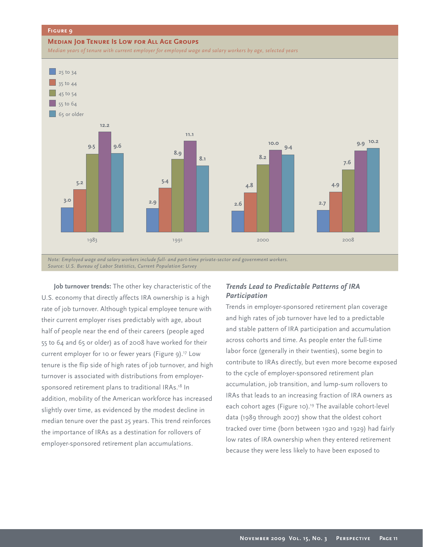#### **Figure 9**

#### **Median Job Tenure Is Low for All Age Groups**

*Median years of tenure with current employer for employed wage and salary workers by age, selected years*



*Note: Employed wage and salary workers include full- and part-time private-sector and government workers. Source: U.S. Bureau of Labor Statistics, Current Population Survey*

**Job turnover trends:** The other key characteristic of the U.S. economy that directly affects IRA ownership is a high rate of job turnover. Although typical employee tenure with their current employer rises predictably with age, about half of people near the end of their careers (people aged 55 to 64 and 65 or older) as of 2008 have worked for their current employer for 10 or fewer years (Figure 9).<sup>17</sup> Low tenure is the flip side of high rates of job turnover, and high turnover is associated with distributions from employersponsored retirement plans to traditional IRAs.<sup>18</sup> In addition, mobility of the American workforce has increased slightly over time, as evidenced by the modest decline in median tenure over the past 25 years. This trend reinforces the importance of IRAs as a destination for rollovers of employer-sponsored retirement plan accumulations.

# *Trends Lead to Predictable Patterns of IRA Participation*

Trends in employer-sponsored retirement plan coverage and high rates of job turnover have led to a predictable and stable pattern of IRA participation and accumulation across cohorts and time. As people enter the full-time labor force (generally in their twenties), some begin to contribute to IRAs directly, but even more become exposed to the cycle of employer-sponsored retirement plan accumulation, job transition, and lump-sum rollovers to IRAs that leads to an increasing fraction of IRA owners as each cohort ages (Figure 10).<sup>19</sup> The available cohort-level data (1989 through 2007) show that the oldest cohort tracked over time (born between 1920 and 1929) had fairly low rates of IRA ownership when they entered retirement because they were less likely to have been exposed to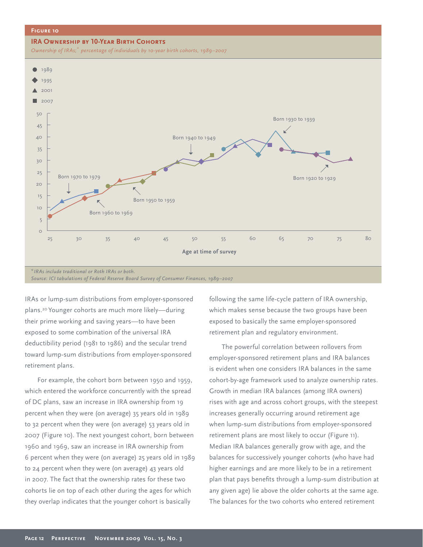#### **Figure 10**

#### **IRA Ownership by 10-Year Birth Cohorts**

*Ownership of IRAs;\* percentage of individuals by 10-year birth cohorts, 1989–2007*



*Source: ICI tabulations of Federal Reserve Board Survey of Consumer Finances, 1989–2007*

IRAs or lump-sum distributions from employer-sponsored plans.20 Younger cohorts are much more likely—during their prime working and saving years—to have been exposed to some combination of the universal IRA deductibility period (1981 to 1986) and the secular trend toward lump-sum distributions from employer-sponsored retirement plans.

For example, the cohort born between 1950 and 1959, which entered the workforce concurrently with the spread of DC plans, saw an increase in IRA ownership from 19 percent when they were (on average) 35 years old in 1989 to 32 percent when they were (on average) 53 years old in 2007 (Figure 10). The next youngest cohort, born between 1960 and 1969, saw an increase in IRA ownership from 6 percent when they were (on average) 25 years old in 1989 to 24 percent when they were (on average) 43 years old in 2007. The fact that the ownership rates for these two cohorts lie on top of each other during the ages for which they overlap indicates that the younger cohort is basically

following the same life-cycle pattern of IRA ownership, which makes sense because the two groups have been exposed to basically the same employer-sponsored retirement plan and regulatory environment.

The powerful correlation between rollovers from employer-sponsored retirement plans and IRA balances is evident when one considers IRA balances in the same cohort-by-age framework used to analyze ownership rates. Growth in median IRA balances (among IRA owners) rises with age and across cohort groups, with the steepest increases generally occurring around retirement age when lump-sum distributions from employer-sponsored retirement plans are most likely to occur (Figure 11). Median IRA balances generally grow with age, and the balances for successively younger cohorts (who have had higher earnings and are more likely to be in a retirement plan that pays benefits through a lump-sum distribution at any given age) lie above the older cohorts at the same age. The balances for the two cohorts who entered retirement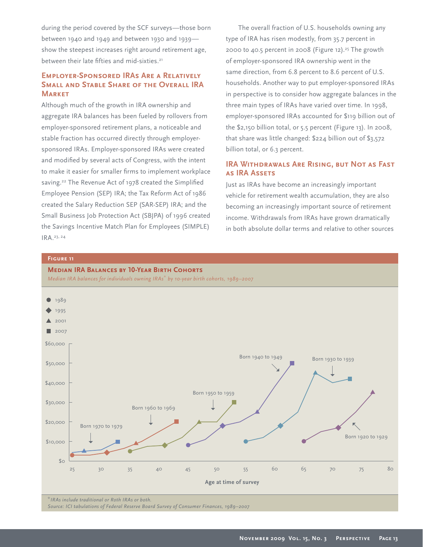during the period covered by the SCF surveys—those born between 1940 and 1949 and between 1930 and 1939 show the steepest increases right around retirement age, between their late fifties and mid-sixties.<sup>21</sup>

# **Employer-Sponsored IRAs Are a Relatively Small and Stable Share of the Overall IRA Market**

Although much of the growth in IRA ownership and aggregate IRA balances has been fueled by rollovers from employer-sponsored retirement plans, a noticeable and stable fraction has occurred directly through employersponsored IRAs. Employer-sponsored IRAs were created and modified by several acts of Congress, with the intent to make it easier for smaller firms to implement workplace saving.<sup>22</sup> The Revenue Act of 1978 created the Simplified Employee Pension (SEP) IRA; the Tax Reform Act of 1986 created the Salary Reduction SEP (SAR-SEP) IRA; and the Small Business Job Protection Act (SBJPA) of 1996 created the Savings Incentive Match Plan for Employees (SIMPLE) IRA.23, 24

**Median IRA Balances by 10-Year Birth Cohorts**

The overall fraction of U.S. households owning any type of IRA has risen modestly, from 35.7 percent in 2000 to 40.5 percent in 2008 (Figure 12).<sup>25</sup> The growth of employer-sponsored IRA ownership went in the same direction, from 6.8 percent to 8.6 percent of U.S. households. Another way to put employer-sponsored IRAs in perspective is to consider how aggregate balances in the three main types of IRAs have varied over time. In 1998, employer-sponsored IRAs accounted for \$119 billion out of the \$2,150 billion total, or 5.5 percent (Figure 13). In 2008, that share was little changed: \$224 billion out of \$3,572 billion total, or 6.3 percent.

# **IRA Withdrawals Are Rising, but Not as Fast as IRA Assets**

Just as IRAs have become an increasingly important vehicle for retirement wealth accumulation, they are also becoming an increasingly important source of retirement income. Withdrawals from IRAs have grown dramatically in both absolute dollar terms and relative to other sources

### **Figure 11**



*Source: ICI tabulations of Federal Reserve Board Survey of Consumer Finances, 1989–2007*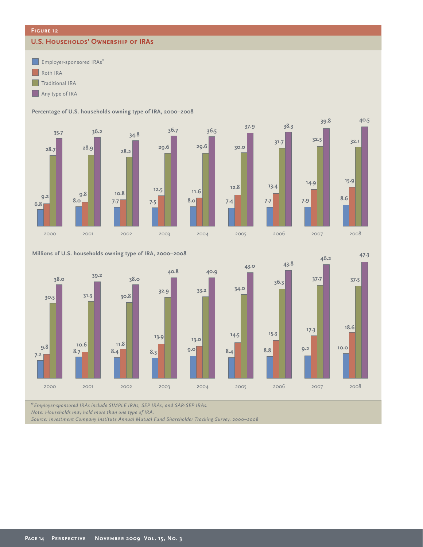### **Figure 12**

### **U.S. HOUSEHOLDS' OWNERSHIP OF IRAS**



m. Any type of IRA

#### **Percentage of U.S. households owning type of IRA, 2000–2008**



#### **Millions of U.S. households owning type of IRA, 2000–2008**



*\*Employer-sponsored IRAs include SIMPLE IRAs, SEP IRAs, and SAR-SEP IRAs.*

*Note: Households may hold more than one type of IRA.*

*Source: Investment Company Institute Annual Mutual Fund Shareholder Tracking Survey, 2000–2008*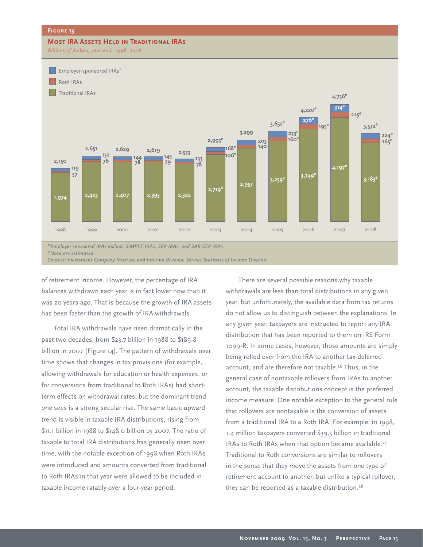#### **Figure 13 MOST IRA ASSETS HELD IN TRADITIONAL IRAS** *Billions of dollars, year-end, 1998–2008* Employer-sponsored IRAs\* Roth IRAs Traditional IRAs **3,749<sup>e</sup> 4,220e 3,652e 3,299 2,993<sup>e</sup> 2,533 2,651 2,629 2,619 2,150 195e 160<sup>e</sup> 140 106e <sup>78</sup> <sup>76</sup> <sup>78</sup> <sup>79</sup> 57 276e 233<sup>e</sup> 203 168<sup>e</sup> <sup>133</sup> <sup>144</sup> <sup>145</sup> <sup>152</sup> 119**

1998 1999 2000 2001 2002 2003 2004 2005 2006 2007 2008

**2,719e**

*\*Employer-sponsored IRAs include SIMPLE IRAs, SEP IRAs, and SAR-SEP IRAs. eData are estimated.*

*Sources: Investment Company Institute and Internal Revenue Service Statistics of Income Division*

of retirement income. However, the percentage of IRA balances withdrawn each year is in fact lower now than it was 20 years ago. That is because the growth of IRA assets has been faster than the growth of IRA withdrawals.

**2,423 2,407 2,395 2,322 1,974**

Total IRA withdrawals have risen dramatically in the past two decades, from \$23.7 billion in 1988 to \$189.8 billion in 2007 (Figure 14). The pattern of withdrawals over time shows that changes in tax provisions (for example, allowing withdrawals for education or health expenses, or for conversions from traditional to Roth IRAs) had shortterm effects on withdrawal rates, but the dominant trend one sees is a strong secular rise. The same basic upward trend is visible in taxable IRA distributions, rising from \$11.1 billion in 1988 to \$148.0 billion by 2007. The ratio of taxable to total IRA distributions has generally risen over time, with the notable exception of 1998 when Roth IRAs were introduced and amounts converted from traditional to Roth IRAs in that year were allowed to be included in taxable income ratably over a four-year period.

There are several possible reasons why taxable withdrawals are less than total distributions in any given year, but unfortunately, the available data from tax returns do not allow us to distinguish between the explanations. In any given year, taxpayers are instructed to report any IRA distribution that has been reported to them on IRS Form 1099-R. In some cases, however, those amounts are simply being rolled over from the IRA to another tax-deferred account, and are therefore not taxable.26 Thus, in the general case of nontaxable rollovers from IRAs to another account, the taxable distributions concept is the preferred income measure. One notable exception to the general rule that rollovers are nontaxable is the conversion of assets from a traditional IRA to a Roth IRA. For example, in 1998, 1.4 million taxpayers converted \$39.3 billion in traditional IRAs to Roth IRAs when that option became available.27 Traditional to Roth conversions are similar to rollovers in the sense that they move the assets from one type of retirement account to another, but unlike a typical rollover, they can be reported as a taxable distribution.<sup>28</sup>

**3,183<sup>e</sup>**

**3,572<sup>e</sup>**

**225e**

**165<sup>e</sup>**

**224<sup>e</sup>**

**4,197e**

**4,736e**

**314e**

**3,259<sup>e</sup>**

**2,957**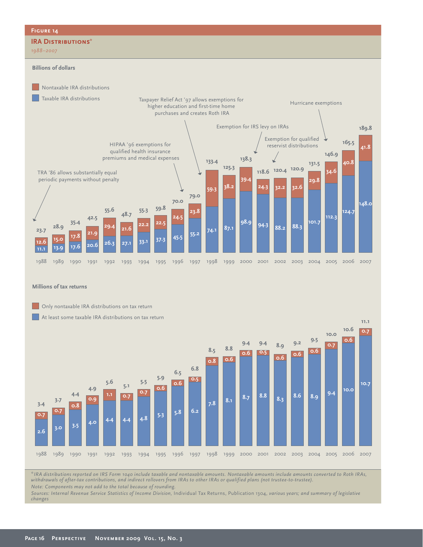

#### **Millions of tax returns**



*\*IRA distributions reported on IRS Form 1040 include taxable and nontaxable amounts. Nontaxable amounts include amounts converted to Roth IRAs, withdrawals of after-tax contributions, and indirect rollovers from IRAs to other IRAs or qualified plans (not trustee-to-trustee). Note: Components may not add to the total because of rounding.*

*Sources: Internal Revenue Service Statistics of Income Division,* Individual Tax Returns, Publication 1304*, various years; and summary of legislative changes*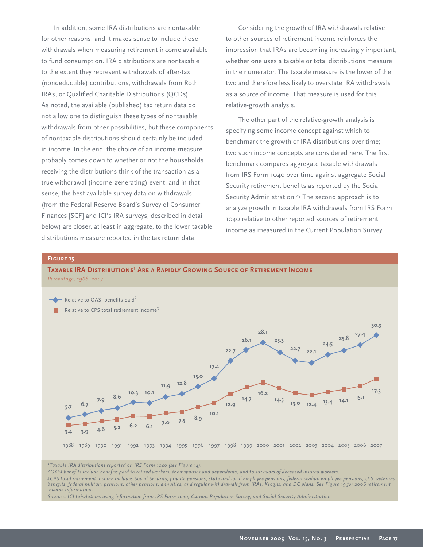In addition, some IRA distributions are nontaxable for other reasons, and it makes sense to include those withdrawals when measuring retirement income available to fund consumption. IRA distributions are nontaxable to the extent they represent withdrawals of after-tax (nondeductible) contributions, withdrawals from Roth IRAs, or Qualified Charitable Distributions (QCDs). As noted, the available (published) tax return data do not allow one to distinguish these types of nontaxable withdrawals from other possibilities, but these components of nontaxable distributions should certainly be included in income. In the end, the choice of an income measure probably comes down to whether or not the households receiving the distributions think of the transaction as a true withdrawal (income-generating) event, and in that sense, the best available survey data on withdrawals (from the Federal Reserve Board's Survey of Consumer Finances [SCF] and ICI's IRA surveys, described in detail below) are closer, at least in aggregate, to the lower taxable distributions measure reported in the tax return data.

Considering the growth of IRA withdrawals relative to other sources of retirement income reinforces the impression that IRAs are becoming increasingly important, whether one uses a taxable or total distributions measure in the numerator. The taxable measure is the lower of the two and therefore less likely to overstate IRA withdrawals as a source of income. That measure is used for this relative-growth analysis.

The other part of the relative-growth analysis is specifying some income concept against which to benchmark the growth of IRA distributions over time; two such income concepts are considered here. The first benchmark compares aggregate taxable withdrawals from IRS Form 1040 over time against aggregate Social Security retirement benefits as reported by the Social Security Administration.29 The second approach is to analyze growth in taxable IRA withdrawals from IRS Form 1040 relative to other reported sources of retirement income as measured in the Current Population Survey

### **Figure 15**

### **Taxable IRA Distributions1 Are a Rapidly Growing Source of Retirement Income** *Percentage, 1988–2007*



*1Taxable IRA distributions reported on IRS Form 1040 (see Figure 14).*

*2OASI benefits include benefits paid to retired workers, their spouses and dependents, and to survivors of deceased insured workers.*

*3CPS total retirement income includes Social Security, private pensions, state and local employee pensions, federal civilian employee pensions, U.S. veterans benefits, federal military pensions, other pensions, annuities, and regular withdrawals from IRAs, Keoghs, and DC plans. See Figure 19 for 2006 retirement income information.*

*Sources: ICI tabulations using information from IRS Form 1040, Current Population Survey, and Social Security Administration*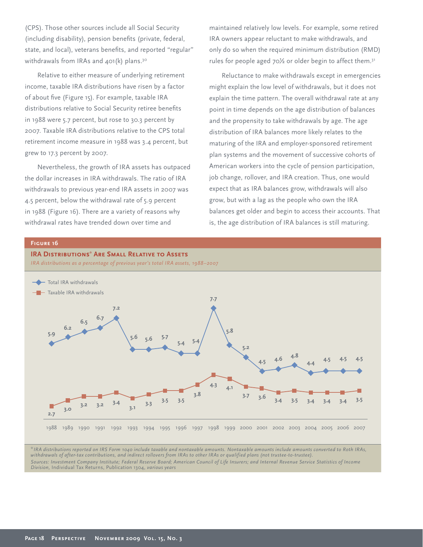(CPS). Those other sources include all Social Security (including disability), pension benefits (private, federal, state, and local), veterans benefits, and reported "regular" withdrawals from IRAs and 401(k) plans.<sup>30</sup>

Relative to either measure of underlying retirement income, taxable IRA distributions have risen by a factor of about five (Figure 15). For example, taxable IRA distributions relative to Social Security retiree benefits in 1988 were 5.7 percent, but rose to 30.3 percent by 2007. Taxable IRA distributions relative to the CPS total retirement income measure in 1988 was 3.4 percent, but grew to 17.3 percent by 2007.

Nevertheless, the growth of IRA assets has outpaced the dollar increases in IRA withdrawals. The ratio of IRA withdrawals to previous year-end IRA assets in 2007 was 4.5 percent, below the withdrawal rate of 5.9 percent in 1988 (Figure 16). There are a variety of reasons why withdrawal rates have trended down over time and

maintained relatively low levels. For example, some retired IRA owners appear reluctant to make withdrawals, and only do so when the required minimum distribution (RMD) rules for people aged 70½ or older begin to affect them.31

Reluctance to make withdrawals except in emergencies might explain the low level of withdrawals, but it does not explain the time pattern. The overall withdrawal rate at any point in time depends on the age distribution of balances and the propensity to take withdrawals by age. The age distribution of IRA balances more likely relates to the maturing of the IRA and employer-sponsored retirement plan systems and the movement of successive cohorts of American workers into the cycle of pension participation, job change, rollover, and IRA creation. Thus, one would expect that as IRA balances grow, withdrawals will also grow, but with a lag as the people who own the IRA balances get older and begin to access their accounts. That is, the age distribution of IRA balances is still maturing.

### **Figure 16**



*\*IRA distributions reported on IRS Form 1040 include taxable and nontaxable amounts. Nontaxable amounts include amounts converted to Roth IRAs, withdrawals of after-tax contributions, and indirect rollovers from IRAs to other IRAs or qualified plans (not trustee-to-trustee). Sources: Investment Company Institute; Federal Reserve Board; American Council of Life Insurers; and Internal Revenue Service Statistics of Income Division,* Individual Tax Returns, Publication 1304*, various years*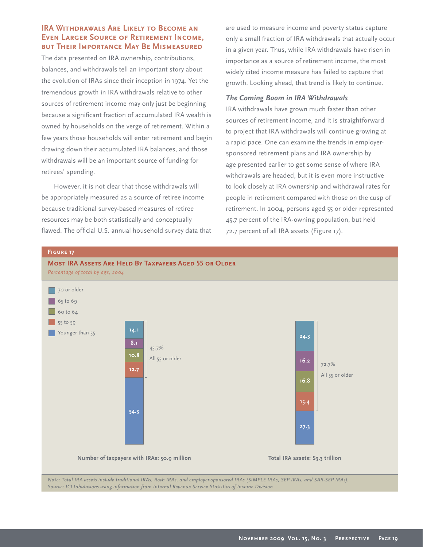# **IRA WITHDRAWALS ARE LIKELY TO BECOME AN Even Larger Source of Retirement Income, but Their Importance May Be Mismeasured**

The data presented on IRA ownership, contributions, balances, and withdrawals tell an important story about the evolution of IRAs since their inception in 1974. Yet the tremendous growth in IRA withdrawals relative to other sources of retirement income may only just be beginning because a significant fraction of accumulated IRA wealth is owned by households on the verge of retirement. Within a few years those households will enter retirement and begin drawing down their accumulated IRA balances, and those withdrawals will be an important source of funding for retirees' spending.

However, it is not clear that those withdrawals will be appropriately measured as a source of retiree income because traditional survey-based measures of retiree resources may be both statistically and conceptually flawed. The official U.S. annual household survey data that are used to measure income and poverty status capture only a small fraction of IRA withdrawals that actually occur in a given year. Thus, while IRA withdrawals have risen in importance as a source of retirement income, the most widely cited income measure has failed to capture that growth. Looking ahead, that trend is likely to continue.

# *The Coming Boom in IRA Withdrawals*

IRA withdrawals have grown much faster than other sources of retirement income, and it is straightforward to project that IRA withdrawals will continue growing at a rapid pace. One can examine the trends in employersponsored retirement plans and IRA ownership by age presented earlier to get some sense of where IRA withdrawals are headed, but it is even more instructive to look closely at IRA ownership and withdrawal rates for people in retirement compared with those on the cusp of retirement. In 2004, persons aged 55 or older represented 45.7 percent of the IRA-owning population, but held 72.7 percent of all IRA assets (Figure 17).

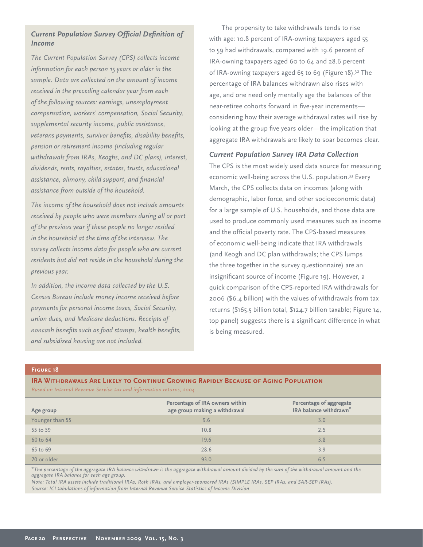# **Current Population Survey Official Definition of** *Income*

*The Current Population Survey (CPS) collects income information for each person 15 years or older in the sample. Data are collected on the amount of income received in the preceding calendar year from each of the following sources: earnings, unemployment compensation, workers' compensation, Social Security, supplemental security income, public assistance, veterans payments, survivor benefits, disability benefits, pension or retirement income (including regular withdrawals from IRAs, Keoghs, and DC plans), interest, dividends, rents, royalties, estates, trusts, educational*  assistance, alimony, child support, and financial *assistance from outside of the household.*

*The income of the household does not include amounts received by people who were members during all or part of the previous year if these people no longer resided in the household at the time of the interview. The survey collects income data for people who are current residents but did not reside in the household during the previous year.* 

*In addition, the income data collected by the U.S. Census Bureau include money income received before payments for personal income taxes, Social Security, union dues, and Medicare deductions. Receipts of noncash benefits such as food stamps, health benefits, and subsidized housing are not included.*

The propensity to take withdrawals tends to rise with age: 10.8 percent of IRA-owning taxpayers aged 55 to 59 had withdrawals, compared with 19.6 percent of IRA-owning taxpayers aged 60 to 64 and 28.6 percent of IRA-owning taxpayers aged 65 to 69 (Figure 18).32 The percentage of IRA balances withdrawn also rises with age, and one need only mentally age the balances of the near-retiree cohorts forward in five-year incrementsconsidering how their average withdrawal rates will rise by looking at the group five years older—the implication that aggregate IRA withdrawals are likely to soar becomes clear.

# *Current Population Survey IRA Data Collection*

The CPS is the most widely used data source for measuring economic well-being across the U.S. population.<sup>33</sup> Every March, the CPS collects data on incomes (along with demographic, labor force, and other socioeconomic data) for a large sample of U.S. households, and those data are used to produce commonly used measures such as income and the official poverty rate. The CPS-based measures of economic well-being indicate that IRA withdrawals (and Keogh and DC plan withdrawals; the CPS lumps the three together in the survey questionnaire) are an insignificant source of income (Figure 19). However, a quick comparison of the CPS-reported IRA withdrawals for 2006 (\$6.4 billion) with the values of withdrawals from tax returns (\$165.5 billion total, \$124.7 billion taxable; Figure 14, top panel) suggests there is a significant difference in what is being measured.

#### **Figure 18**

# **IRA Withdrawals Are Likely to Continue Growing Rapidly Because of Aging Population**

*Based on Internal Revenue Service tax and information returns, 2004*

| Age group       | Percentage of IRA owners within<br>age group making a withdrawal | Percentage of aggregate<br>IRA balance withdrawn <sup>*</sup> |
|-----------------|------------------------------------------------------------------|---------------------------------------------------------------|
| Younger than 55 | 9.6                                                              | 3.0                                                           |
| 55 to 59        | 10.8                                                             | 2.5                                                           |
| 60 to 64        | 19.6                                                             | 3.8                                                           |
| 65 to 69        | 28.6                                                             | 3.9                                                           |
| 70 or older     | 93.0                                                             | 6.5                                                           |

*\*The percentage of the aggregate IRA balance withdrawn is the aggregate withdrawal amount divided by the sum of the withdrawal amount and the aggregate IRA balance for each age group.*

*Note: Total IRA assets include traditional IRAs, Roth IRAs, and employer-sponsored IRAs (SIMPLE IRAs, SEP IRAs, and SAR-SEP IRAs). Source: ICI tabulations of information from Internal Revenue Service Statistics of Income Division*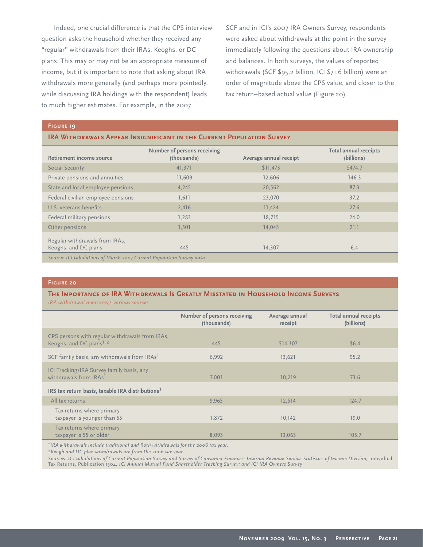Indeed, one crucial difference is that the CPS interview question asks the household whether they received any "regular" withdrawals from their IRAs, Keoghs, or DC plans. This may or may not be an appropriate measure of income, but it is important to note that asking about IRA withdrawals more generally (and perhaps more pointedly, while discussing IRA holdings with the respondent) leads to much higher estimates. For example, in the 2007

SCF and in ICI's 2007 IRA Owners Survey, respondents were asked about withdrawals at the point in the survey immediately following the questions about IRA ownership and balances. In both surveys, the values of reported withdrawals (SCF \$95.2 billion, ICI \$71.6 billion) were an order of magnitude above the CPS value, and closer to the tax return–based actual value (Figure 20).

### **Figure 19**

### **IRA WITHDRAWALS APPEAR INSIGNIFICANT IN THE CURRENT POPULATION SURVEY**

| <b>Retirement income source</b>                                      | <b>Number of persons receiving</b><br>(thousands) | Average annual receipt | <b>Total annual receipts</b><br>(billions) |
|----------------------------------------------------------------------|---------------------------------------------------|------------------------|--------------------------------------------|
| Social Security                                                      | 41,371                                            | \$11,473               | \$474.7                                    |
| Private pensions and annuities                                       | 11,609                                            | 12,606                 | 146.3                                      |
| State and local employee pensions                                    | 4,245                                             | 20,562                 | 87.3                                       |
| Federal civilian employee pensions                                   | 1,611                                             | 23,070                 | 37.2                                       |
| U.S. veterans benefits                                               | 2,416                                             | 11,424                 | 27.6                                       |
| Federal military pensions                                            | 1,283                                             | 18,715                 | 24.0                                       |
| Other pensions                                                       | 1,501                                             | 14,045                 | 21.1                                       |
| Regular withdrawals from IRAs,<br>Keoghs, and DC plans               | 445                                               | 14,307                 | 6.4                                        |
| Source: ICI tabulations of March 2007 Current Population Survey data |                                                   |                        |                                            |

#### **Figure 20**

#### **The Importance of IRA Withdrawals Is Greatly Misstated in Household Income Surveys**

*IRA withdrawal measures,1 various sources*

|                                                                                         | Number of persons receiving<br>(thousands) | Average annual<br>receipt | <b>Total annual receipts</b><br>(billions) |
|-----------------------------------------------------------------------------------------|--------------------------------------------|---------------------------|--------------------------------------------|
| CPS persons with regular withdrawals from IRAs,<br>Keoghs, and DC plans <sup>1, 2</sup> | 445                                        | \$14,307                  | \$6.4                                      |
| SCF family basis, any withdrawals from IRAs <sup>1</sup>                                | 6,992                                      | 13,621                    | 95.2                                       |
| ICI Tracking/IRA Survey family basis, any<br>withdrawals from IRAs <sup>1</sup>         | 7,003                                      | 10,219                    | 71.6                                       |
| IRS tax return basis, taxable IRA distributions <sup>1</sup>                            |                                            |                           |                                            |
| All tax returns                                                                         | 9,965                                      | 12,514                    | 124.7                                      |
| Tax returns where primary<br>taxpayer is younger than 55                                | 1,872                                      | 10,142                    | 19.0                                       |
| Tax returns where primary<br>taxpayer is 55 or older                                    | 8,093                                      | 13.063                    | 105.7                                      |

*1IRA withdrawals include traditional and Roth withdrawals for the 2006 tax year.*

*2Keogh and DC plan withdrawals are from the 2006 tax year.*

Sources: ICI tabulations of Current Population Survey and Survey of Consumer Finances; Internal Revenue Service Statistics of Income Division, Individual Tax Returns, Publication 1304*; ICI Annual Mutual Fund Shareholder Tracking Survey; and ICI IRA Owners Survey*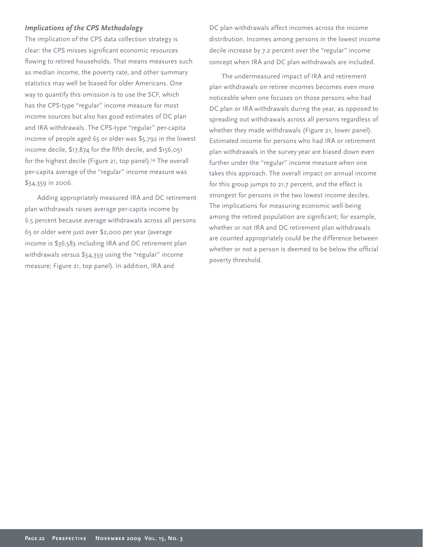# *Implications of the CPS Methodology*

The implication of the CPS data collection strategy is clear: the CPS misses significant economic resources flowing to retired households. That means measures such as median income, the poverty rate, and other summary statistics may well be biased for older Americans. One way to quantify this omission is to use the SCF, which has the CPS-type "regular" income measure for most income sources but also has good estimates of DC plan and IRA withdrawals. The CPS-type "regular" per-capita income of people aged 65 or older was \$5,792 in the lowest income decile,  $$17,874$  for the fifth decile, and  $$156,051$ for the highest decile (Figure 21, top panel).34 The overall per-capita average of the "regular" income measure was \$34,359 in 2006.

Adding appropriately measured IRA and DC retirement plan withdrawals raises average per-capita income by 6.5 percent because average withdrawals across all persons 65 or older were just over \$2,000 per year (average income is \$36,583 including IRA and DC retirement plan withdrawals versus \$34,359 using the "regular" income measure; Figure 21, top panel). In addition, IRA and

DC plan withdrawals affect incomes across the income distribution. Incomes among persons in the lowest income decile increase by 7.2 percent over the "regular" income concept when IRA and DC plan withdrawals are included.

The undermeasured impact of IRA and retirement plan withdrawals on retiree incomes becomes even more noticeable when one focuses on those persons who had DC plan or IRA withdrawals during the year, as opposed to spreading out withdrawals across all persons regardless of whether they made withdrawals (Figure 21, lower panel). Estimated income for persons who had IRA or retirement plan withdrawals in the survey year are biased down even further under the "regular" income measure when one takes this approach. The overall impact on annual income for this group jumps to 21.7 percent, and the effect is strongest for persons in the two lowest income deciles. The implications for measuring economic well-being among the retired population are significant; for example, whether or not IRA and DC retirement plan withdrawals are counted appropriately could be the difference between whether or not a person is deemed to be below the official poverty threshold.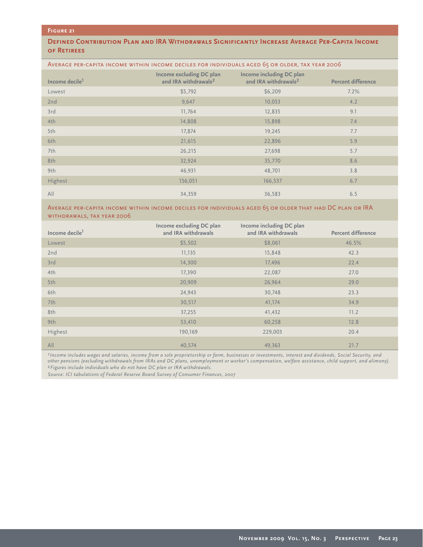#### **Figure 21**

# **DEFINED CONTRIBUTION PLAN AND IRA WITHDRAWALS SIGNIFICANTLY INCREASE AVERAGE PER-CAPITA INCOME of Retirees**

#### Average per-capita income within income deciles for individuals aged 65 or older, tax year 2006

| Income decile <sup>1</sup> | Income excluding DC plan<br>and IRA withdrawals <sup>2</sup> | Income including DC plan<br>and IRA withdrawals <sup>2</sup> | <b>Percent difference</b> |
|----------------------------|--------------------------------------------------------------|--------------------------------------------------------------|---------------------------|
| Lowest                     | \$5,792                                                      | \$6,209                                                      | 7.2%                      |
| 2nd                        | 9,647                                                        | 10,053                                                       | 4.2                       |
| 3rd                        | 11,764                                                       | 12,835                                                       | 9.1                       |
| 4th                        | 14,808                                                       | 15,898                                                       | 7.4                       |
| 5th                        | 17,874                                                       | 19,245                                                       | 7.7                       |
| 6th                        | 21,615                                                       | 22,896                                                       | 5.9                       |
| 7th                        | 26,215                                                       | 27,698                                                       | 5.7                       |
| 8th                        | 32,924                                                       | 35,770                                                       | 8.6                       |
| 9th                        | 46,931                                                       | 48,701                                                       | 3.8                       |
| Highest                    | 156,051                                                      | 166,537                                                      | 6.7                       |
| All                        | 34,359                                                       | 36,583                                                       | 6.5                       |

Average per-capita income within income deciles for individuals aged 65 or older that had DC plan or IRA withdrawals, tax year 2006

| Income decile <sup>1</sup> | Income excluding DC plan<br>and IRA withdrawals | Income including DC plan<br>and IRA withdrawals | <b>Percent difference</b> |
|----------------------------|-------------------------------------------------|-------------------------------------------------|---------------------------|
| Lowest                     | \$5,502                                         | \$8,061                                         | 46.5%                     |
| 2nd                        | 11,135                                          | 15,848                                          | 42.3                      |
| 3rd                        | 14,300                                          | 17,496                                          | 22.4                      |
| 4th                        | 17,390                                          | 22,087                                          | 27.0                      |
| 5th                        | 20,909                                          | 26,964                                          | 29.0                      |
| 6th                        | 24,943                                          | 30,748                                          | 23.3                      |
| 7th                        | 30,517                                          | 41,174                                          | 34.9                      |
| 8th                        | 37,255                                          | 41,432                                          | 11.2                      |
| 9th                        | 53,410                                          | 60,258                                          | 12.8                      |
| Highest                    | 190,169                                         | 229,003                                         | 20.4                      |
| All                        | 40,574                                          | 49,363                                          | 21.7                      |

*1Income includes wages and salaries, income from a sole proprietorship or farm, businesses or investments, interest and dividends, Social Security, and other pensions (excluding withdrawals from IRAs and DC plans, unemployment or worker's compensation, welfare assistance, child support, and alimony). 2Figures include individuals who do not have DC plan or IRA withdrawals.*

*Source: ICI tabulations of Federal Reserve Board Survey of Consumer Finances, 2007*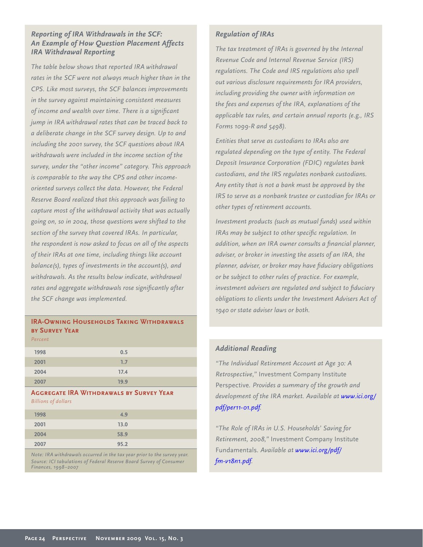# *Reporting of IRA Withdrawals in the SCF: An Example of How Question Placement Affects IRA Withdrawal Reporting*

*The table below shows that reported IRA withdrawal rates in the SCF were not always much higher than in the CPS. Like most surveys, the SCF balances improvements in the survey against maintaining consistent measures*  of income and wealth over time. There is a significant *jump in IRA withdrawal rates that can be traced back to a deliberate change in the SCF survey design. Up to and including the 2001 survey, the SCF questions about IRA withdrawals were included in the income section of the survey, under the "other income" category. This approach is comparable to the way the CPS and other incomeoriented surveys collect the data. However, the Federal Reserve Board realized that this approach was failing to capture most of the withdrawal activity that was actually going on, so in 2004, those questions were shifted to the section of the survey that covered IRAs. In particular, the respondent is now asked to focus on all of the aspects of their IRAs at one time, including things like account balance(s), types of investments in the account(s), and withdrawals. As the results below indicate, withdrawal*  rates and aggregate withdrawals rose significantly after *the SCF change was implemented.* 

# **IRA-Owning Households Taking Withdrawals by Survey Year**

*Percent*

| 1998 | 0.5  |
|------|------|
| 2001 | 1.7  |
| 2004 | 17.4 |
| 2007 | 19.9 |
|      |      |

# **Aggregate IRA Withdrawals by Survey Year**  *Billions of dollars*

| 1998 | 4.9  |
|------|------|
| 2001 | 13.0 |
| 2004 | 58.9 |
| 2007 | 95.2 |

*Note: IRA withdrawals occurred in the tax year prior to the survey year. Source: ICI tabulations of Federal Reserve Board Survey of Consumer Finances, 1998–2007*

# *Regulation of IRAs*

*The tax treatment of IRAs is governed by the Internal Revenue Code and Internal Revenue Service (IRS) regulations. The Code and IRS regulations also spell out various disclosure requirements for IRA providers, including providing the owner with information on the fees and expenses of the IRA, explanations of the applicable tax rules, and certain annual reports (e.g., IRS Forms 1099-R and 5498).* 

*Entities that serve as custodians to IRAs also are regulated depending on the type of entity. The Federal Deposit Insurance Corporation (FDIC) regulates bank custodians, and the IRS regulates nonbank custodians. Any entity that is not a bank must be approved by the IRS to serve as a nonbank trustee or custodian for IRAs or other types of retirement accounts.*

*Investment products (such as mutual funds) used within IRAs may be subject to other specific regulation. In* addition, when an IRA owner consults a financial planner, *adviser, or broker in investing the assets of an IRA, the*  planner, adviser, or broker may have fiduciary obligations *or be subject to other rules of practice. For example,*  investment advisers are regulated and subject to fiduciary *obligations to clients under the Investment Advisers Act of 1940 or state adviser laws or both.* 

# *Additional Reading*

*"The Individual Retirement Account at Age 30: A Retrospective,"* Investment Company Institute Perspective*. Provides a summary of the growth and development of the IRA market. Available at [www.ici.org/](http://www.ici.org/pdf/per11-01.pdf) [pdf/per11-01.pdf.](http://www.ici.org/pdf/per11-01.pdf)*

*"The Role of IRAs in U.S. Households' Saving for Retirement, 2008,"* Investment Company Institute Fundamentals*. Available a[t www.ici.org/pdf/](http://www.ici.org/pdf/fm-v18n1.pdf) [fm-v18n1.pdf.](http://www.ici.org/pdf/fm-v18n1.pdf)*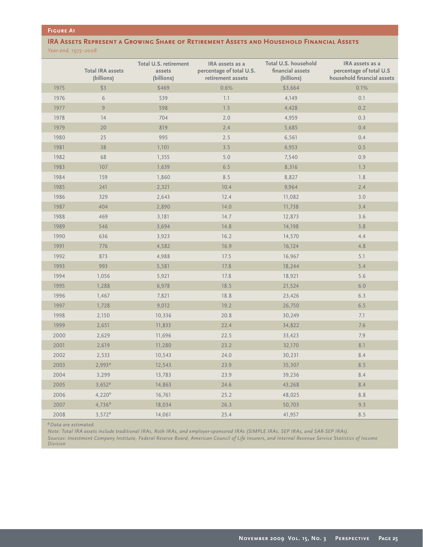### **Figure A1**

# **IRA Assets Represent a Growing Share of Retirement Assets and Household Financial Assets** *Year-end, 1975–2008*

|      | <b>Total IRA assets</b><br>(billions) | Total U.S. retirement<br>assets<br>(billions) | IRA assets as a<br>percentage of total U.S.<br>retirement assets | Total U.S. household<br>financial assets<br>(billions) | IRA assets as a<br>percentage of total U.S<br>household financial assets |
|------|---------------------------------------|-----------------------------------------------|------------------------------------------------------------------|--------------------------------------------------------|--------------------------------------------------------------------------|
| 1975 | \$3                                   | \$469                                         | 0.6%                                                             | \$3,664                                                | 0.1%                                                                     |
| 1976 | $6\,$                                 | 539                                           | 1.1                                                              | 4,149                                                  | 0.1                                                                      |
| 1977 | 9                                     | 598                                           | 1.5                                                              | 4,428                                                  | 0.2                                                                      |
| 1978 | 14                                    | 704                                           | $2.0\,$                                                          | 4,959                                                  | 0.3                                                                      |
| 1979 | 20                                    | 819                                           | 2.4                                                              | 5,685                                                  | 0.4                                                                      |
| 1980 | 25                                    | 995                                           | $2.5$                                                            | 6,561                                                  | 0.4                                                                      |
| 1981 | 38                                    | 1,101                                         | 3.5                                                              | 6,953                                                  | 0.5                                                                      |
| 1982 | 68                                    | 1,355                                         | $5.0\,$                                                          | 7,540                                                  | 0.9                                                                      |
| 1983 | 107                                   | 1,639                                         | $6.5\,$                                                          | 8,316                                                  | 1.3                                                                      |
| 1984 | 159                                   | 1,860                                         | 8.5                                                              | 8,827                                                  | $7.8$                                                                    |
| 1985 | 241                                   | 2,321                                         | 10.4                                                             | 9,964                                                  | 2.4                                                                      |
| 1986 | 329                                   | 2,643                                         | 12.4                                                             | 11,082                                                 | 3.0                                                                      |
| 1987 | 404                                   | 2,890                                         | 14.0                                                             | 11,738                                                 | 3.4                                                                      |
| 1988 | 469                                   | 3,181                                         | 14.7                                                             | 12,873                                                 | 3.6                                                                      |
| 1989 | 546                                   | 3,694                                         | 14.8                                                             | 14,198                                                 | 3.8                                                                      |
| 1990 | 636                                   | 3,923                                         | 16.2                                                             | 14,570                                                 | 4.4                                                                      |
| 1991 | 776                                   | 4,582                                         | 16.9                                                             | 16,124                                                 | 4.8                                                                      |
| 1992 | 873                                   | 4,988                                         | 17.5                                                             | 16,967                                                 | 5.1                                                                      |
| 1993 | 993                                   | 5,581                                         | 17.8                                                             | 18,244                                                 | 5.4                                                                      |
| 1994 | 1,056                                 | 5,921                                         | 17.8                                                             | 18,921                                                 | 5.6                                                                      |
| 1995 | 1,288                                 | 6,978                                         | 18.5                                                             | 21,524                                                 | $6.0$                                                                    |
| 1996 | 1,467                                 | 7,821                                         | 18.8                                                             | 23,426                                                 | 6.3                                                                      |
| 1997 | 1,728                                 | 9,012                                         | 19.2                                                             | 26,750                                                 | $6.5$                                                                    |
| 1998 | 2,150                                 | 10,336                                        | 20.8                                                             | 30,249                                                 | 7.1                                                                      |
| 1999 | 2,651                                 | 11,833                                        | 22.4                                                             | 34,822                                                 | 7.6                                                                      |
| 2000 | 2,629                                 | 11,696                                        | 22.5                                                             | 33,423                                                 | 7.9                                                                      |
| 2001 | 2,619                                 | 11,280                                        | 23.2                                                             | 32,170                                                 | 8.1                                                                      |
| 2002 | 2,533                                 | 10,543                                        | 24.0                                                             | 30,231                                                 | 8.4                                                                      |
| 2003 | $2,993^e$                             | 12,543                                        | 23.9                                                             | 35,307                                                 | 8.5                                                                      |
| 2004 | 3,299                                 | 13,783                                        | 23.9                                                             | 39,236                                                 | 8.4                                                                      |
| 2005 | $3,652^e$                             | 14,863                                        | 24.6                                                             | 43,268                                                 | 8.4                                                                      |
| 2006 | $4,220^e$                             | 16,761                                        | 25.2                                                             | 48,025                                                 | 8.8                                                                      |
| 2007 | $4,736^e$                             | 18,034                                        | 26.3                                                             | 50,703                                                 | 9.3                                                                      |
| 2008 | $3,572^e$                             | 14,061                                        | 25.4                                                             | 41,957                                                 | 8.5                                                                      |

*eData are estimated.*

*Note: Total IRA assets include traditional IRAs, Roth IRAs, and employer-sponsored IRAs (SIMPLE IRAs, SEP IRAs, and SAR-SEP IRAs). Sources: Investment Company Institute, Federal Reserve Board, American Council of Life Insurers, and Internal Revenue Service Statistics of Income Division*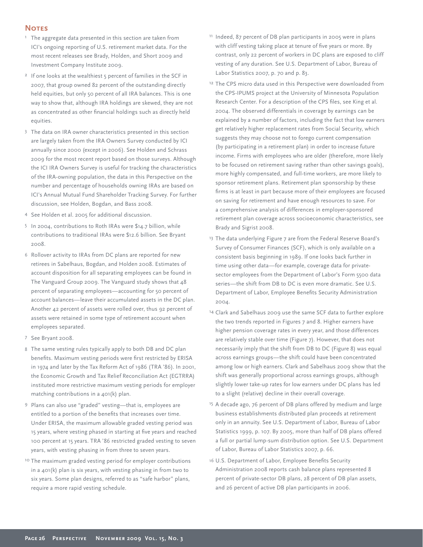# **NOTES**

- <sup>1</sup> The aggregate data presented in this section are taken from ICI's ongoing reporting of U.S. retirement market data. For the most recent releases see Brady, Holden, and Short 2009 and Investment Company Institute 2009.
- <sup>2</sup> If one looks at the wealthiest 5 percent of families in the SCF in 2007, that group owned 82 percent of the outstanding directly held equities, but only 50 percent of all IRA balances. This is one way to show that, although IRA holdings are skewed, they are not as concentrated as other financial holdings such as directly held equities.
- <sup>3</sup> The data on IRA owner characteristics presented in this section are largely taken from the IRA Owners Survey conducted by ICI annually since 2000 (except in 2006). See Holden and Schrass 2009 for the most recent report based on those surveys. Although the ICI IRA Owners Survey is useful for tracking the characteristics of the IRA-owning population, the data in this Perspective on the number and percentage of households owning IRAs are based on ICI's Annual Mutual Fund Shareholder Tracking Survey. For further discussion, see Holden, Bogdan, and Bass 2008.
- <sup>4</sup> See Holden et al. 2005 for additional discussion.
- <sup>5</sup> In 2004, contributions to Roth IRAs were \$14.7 billion, while contributions to traditional IRAs were \$12.6 billion. See Bryant 2008.
- 6 Rollover activity to IRAs from DC plans are reported for new retirees in Sabelhaus, Bogdan, and Holden 2008. Estimates of account disposition for all separating employees can be found in The Vanguard Group 2009. The Vanguard study shows that 48 percent of separating employees—accounting for 50 percent of account balances—leave their accumulated assets in the DC plan. Another 42 percent of assets were rolled over, thus 92 percent of assets were retained in some type of retirement account when employees separated.
- <sup>7</sup> See Bryant 2008.
- 8 The same vesting rules typically apply to both DB and DC plan benefits. Maximum vesting periods were first restricted by ERISA in 1974 and later by the Tax Reform Act of 1986 (TRA '86). In 2001, the Economic Growth and Tax Relief Reconciliation Act (EGTRRA) instituted more restrictive maximum vesting periods for employer matching contributions in a 401(k) plan.
- <sup>9</sup> Plans can also use "graded" vesting—that is, employees are entitled to a portion of the benefits that increases over time. Under ERISA, the maximum allowable graded vesting period was 15 years, where vesting phased in starting at five years and reached 100 percent at 15 years. TRA '86 restricted graded vesting to seven years, with vesting phasing in from three to seven years.
- <sup>10</sup> The maximum graded vesting period for employer contributions in a 401(k) plan is six years, with vesting phasing in from two to six years. Some plan designs, referred to as "safe harbor" plans, require a more rapid vesting schedule.
- <sup>11</sup> Indeed, 87 percent of DB plan participants in 2005 were in plans with cliff vesting taking place at tenure of five years or more. By contrast, only 22 percent of workers in DC plans are exposed to cliff vesting of any duration. See U.S. Department of Labor, Bureau of Labor Statistics 2007, p. 70 and p. 83.
- <sup>12</sup> The CPS micro data used in this Perspective were downloaded from the CPS-IPUMS project at the University of Minnesota Population Research Center. For a description of the CPS files, see King et al. 2004. The observed differentials in coverage by earnings can be explained by a number of factors, including the fact that low earners get relatively higher replacement rates from Social Security, which suggests they may choose not to forego current compensation (by participating in a retirement plan) in order to increase future income. Firms with employees who are older (therefore, more likely to be focused on retirement saving rather than other savings goals), more highly compensated, and full-time workers, are more likely to sponsor retirement plans. Retirement plan sponsorship by these firms is at least in part because more of their employees are focused on saving for retirement and have enough resources to save. For a comprehensive analysis of differences in employer-sponsored retirement plan coverage across socioeconomic characteristics, see Brady and Sigrist 2008.
- <sup>13</sup> The data underlying Figure 7 are from the Federal Reserve Board's Survey of Consumer Finances (SCF), which is only available on a consistent basis beginning in 1989. If one looks back further in time using other data—for example, coverage data for privatesector employees from the Department of Labor's Form 5500 data series—the shift from DB to DC is even more dramatic. See U.S. Department of Labor, Employee Benefits Security Administration 2004.
- <sup>14</sup> Clark and Sabelhaus 2009 use the same SCF data to further explore the two trends reported in Figures 7 and 8. Higher earners have higher pension coverage rates in every year, and those differences are relatively stable over time (Figure 7). However, that does not necessarily imply that the shift from DB to DC (Figure 8) was equal across earnings groups—the shift could have been concentrated among low or high earners. Clark and Sabelhaus 2009 show that the shift was generally proportional across earnings groups, although slightly lower take-up rates for low earners under DC plans has led to a slight (relative) decline in their overall coverage.
- <sup>15</sup> A decade ago, 76 percent of DB plans offered by medium and large business establishments distributed plan proceeds at retirement only in an annuity. See U.S. Department of Labor, Bureau of Labor Statistics 1999, p. 107. By 2005, more than half of DB plans offered a full or partial lump-sum distribution option. See U.S. Department of Labor, Bureau of Labor Statistics 2007, p. 66.
- 16 U.S. Department of Labor, Employee Benefits Security Administration 2008 reports cash balance plans represented 8 percent of private-sector DB plans, 28 percent of DB plan assets, and 26 percent of active DB plan participants in 2006.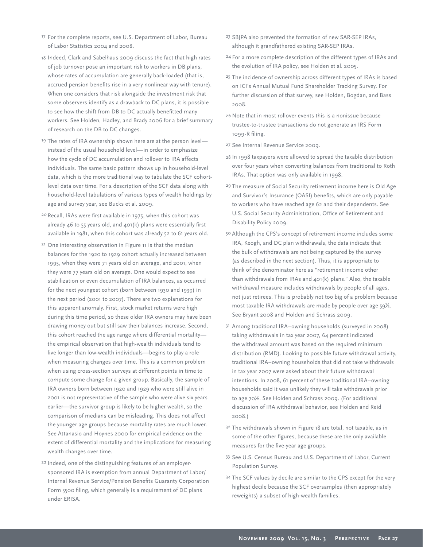- <sup>17</sup> For the complete reports, see U.S. Department of Labor, Bureau of Labor Statistics 2004 and 2008.
- 18 Indeed, Clark and Sabelhaus 2009 discuss the fact that high rates of job turnover pose an important risk to workers in DB plans, whose rates of accumulation are generally back-loaded (that is, accrued pension benefits rise in a very nonlinear way with tenure). When one considers that risk alongside the investment risk that some observers identify as a drawback to DC plans, it is possible to see how the shift from DB to DC actually benefitted many workers. See Holden, Hadley, and Brady 2006 for a brief summary of research on the DB to DC changes.
- <sup>19</sup> The rates of IRA ownership shown here are at the person level instead of the usual household level—in order to emphasize how the cycle of DC accumulation and rollover to IRA affects individuals. The same basic pattern shows up in household-level data, which is the more traditional way to tabulate the SCF cohortlevel data over time. For a description of the SCF data along with household-level tabulations of various types of wealth holdings by age and survey year, see Bucks et al. 2009.
- <sup>20</sup> Recall, IRAs were first available in 1975, when this cohort was already 46 to 55 years old, and 401(k) plans were essentially first available in 1981, when this cohort was already 52 to 61 years old.
- <sup>21</sup> One interesting observation in Figure 11 is that the median balances for the 1920 to 1929 cohort actually increased between 1995, when they were 71 years old on average, and 2001, when they were 77 years old on average. One would expect to see stabilization or even decumulation of IRA balances, as occurred for the next youngest cohort (born between 1930 and 1939) in the next period (2001 to 2007). There are two explanations for this apparent anomaly. First, stock market returns were high during this time period, so these older IRA owners may have been drawing money out but still saw their balances increase. Second, this cohort reached the age range where differential mortality the empirical observation that high-wealth individuals tend to live longer than low-wealth individuals—begins to play a role when measuring changes over time. This is a common problem when using cross-section surveys at different points in time to compute some change for a given group. Basically, the sample of IRA owners born between 1920 and 1929 who were still alive in 2001 is not representative of the sample who were alive six years earlier—the survivor group is likely to be higher wealth, so the comparison of medians can be misleading. This does not affect the younger age groups because mortality rates are much lower. See Attanasio and Hoynes 2000 for empirical evidence on the extent of differential mortality and the implications for measuring wealth changes over time.
- <sup>22</sup> Indeed, one of the distinguishing features of an employersponsored IRA is exemption from annual Department of Labor/ Internal Revenue Service/Pension Benefits Guaranty Corporation Form 5500 filing, which generally is a requirement of DC plans under ERISA.
- <sup>23</sup> SBJPA also prevented the formation of new SAR-SEP IRAs, although it grandfathered existing SAR-SEP IRAs.
- <sup>24</sup> For a more complete description of the different types of IRAs and the evolution of IRA policy, see Holden et al. 2005.
- <sup>25</sup> The incidence of ownership across different types of IRAs is based on ICI's Annual Mutual Fund Shareholder Tracking Survey. For further discussion of that survey, see Holden, Bogdan, and Bass 2008.
- 26 Note that in most rollover events this is a nonissue because trustee-to-trustee transactions do not generate an IRS Form 1099-R filing.
- <sup>27</sup> See Internal Revenue Service 2009.
- 28 In 1998 taxpayers were allowed to spread the taxable distribution over four years when converting balances from traditional to Roth IRAs. That option was only available in 1998.
- <sup>29</sup> The measure of Social Security retirement income here is Old Age and Survivor's Insurance (OASI) benefits, which are only payable to workers who have reached age 62 and their dependents. See U.S. Social Security Administration, Office of Retirement and Disability Policy 2009.
- <sup>30</sup> Although the CPS's concept of retirement income includes some IRA, Keogh, and DC plan withdrawals, the data indicate that the bulk of withdrawals are not being captured by the survey (as described in the next section). Thus, it is appropriate to think of the denominator here as "retirement income other than withdrawals from IRAs and 401(k) plans." Also, the taxable withdrawal measure includes withdrawals by people of all ages, not just retirees. This is probably not too big of a problem because most taxable IRA withdrawals are made by people over age 59½. See Bryant 2008 and Holden and Schrass 2009.
- <sup>31</sup> Among traditional IRA–owning households (surveyed in 2008) taking withdrawals in tax year 2007, 64 percent indicated the withdrawal amount was based on the required minimum distribution (RMD). Looking to possible future withdrawal activity, traditional IRA–owning households that did not take withdrawals in tax year 2007 were asked about their future withdrawal intentions. In 2008, 61 percent of these traditional IRA–owning households said it was unlikely they will take withdrawals prior to age 70½. See Holden and Schrass 2009. (For additional discussion of IRA withdrawal behavior, see Holden and Reid 2008.)
- <sup>32</sup> The withdrawals shown in Figure 18 are total, not taxable, as in some of the other figures, because these are the only available measures for the five-year age groups.
- <sup>33</sup> See U.S. Census Bureau and U.S. Department of Labor, Current Population Survey.
- <sup>34</sup> The SCF values by decile are similar to the CPS except for the very highest decile because the SCF oversamples (then appropriately reweights) a subset of high-wealth families.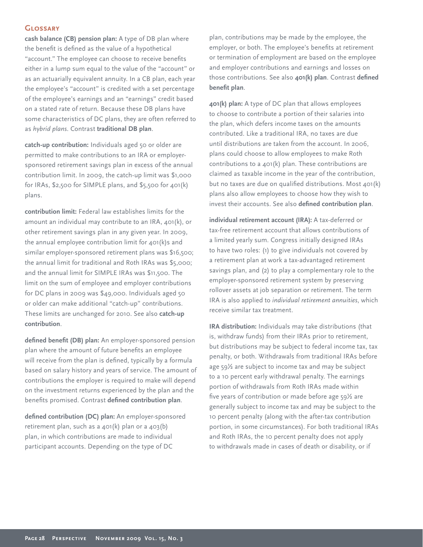# **Glossary**

**cash balance (CB) pension plan:** A type of DB plan where the benefit is defined as the value of a hypothetical "account." The employee can choose to receive benefits either in a lump sum equal to the value of the "account" or as an actuarially equivalent annuity. In a CB plan, each year the employee's "account" is credited with a set percentage of the employee's earnings and an "earnings" credit based on a stated rate of return. Because these DB plans have some characteristics of DC plans, they are often referred to as *hybrid plans*. Contrast **traditional DB plan**.

**catch-up contribution:** Individuals aged 50 or older are permitted to make contributions to an IRA or employersponsored retirement savings plan in excess of the annual contribution limit. In 2009, the catch-up limit was \$1,000 for IRAs, \$2,500 for SIMPLE plans, and \$5,500 for 401(k) plans.

**contribution limit:** Federal law establishes limits for the amount an individual may contribute to an IRA, 401(k), or other retirement savings plan in any given year. In 2009, the annual employee contribution limit for 401(k)s and similar employer-sponsored retirement plans was \$16,500; the annual limit for traditional and Roth IRAs was \$5,000; and the annual limit for SIMPLE IRAs was \$11,500. The limit on the sum of employee and employer contributions for DC plans in 2009 was \$49,000. Individuals aged 50 or older can make additional "catch-up" contributions. These limits are unchanged for 2010. See also **catch-up contribution**.

defined benefit (DB) plan: An employer-sponsored pension plan where the amount of future benefits an employee will receive from the plan is defined, typically by a formula based on salary history and years of service. The amount of contributions the employer is required to make will depend on the investment returns experienced by the plan and the benefits promised. Contrast defined contribution plan.

defined contribution (DC) plan: An employer-sponsored retirement plan, such as a 401(k) plan or a 403(b) plan, in which contributions are made to individual participant accounts. Depending on the type of DC

plan, contributions may be made by the employee, the employer, or both. The employee's benefits at retirement or termination of employment are based on the employee and employer contributions and earnings and losses on those contributions. See also 401(k) plan. Contrast defined **benefit** plan.

**401(k) plan:** A type of DC plan that allows employees to choose to contribute a portion of their salaries into the plan, which defers income taxes on the amounts contributed. Like a traditional IRA, no taxes are due until distributions are taken from the account. In 2006, plans could choose to allow employees to make Roth contributions to a 401(k) plan. These contributions are claimed as taxable income in the year of the contribution, but no taxes are due on qualified distributions. Most  $401(k)$ plans also allow employees to choose how they wish to invest their accounts. See also defined contribution plan.

**individual retirement account (IRA):** A tax-deferred or tax-free retirement account that allows contributions of a limited yearly sum. Congress initially designed IRAs to have two roles: (1) to give individuals not covered by a retirement plan at work a tax-advantaged retirement savings plan, and (2) to play a complementary role to the employer-sponsored retirement system by preserving rollover assets at job separation or retirement. The term IRA is also applied to *individual retirement annuities*, which receive similar tax treatment.

**IRA distribution:** Individuals may take distributions (that is, withdraw funds) from their IRAs prior to retirement, but distributions may be subject to federal income tax, tax penalty, or both. Withdrawals from traditional IRAs before age 59½ are subject to income tax and may be subject to a 10 percent early withdrawal penalty. The earnings portion of withdrawals from Roth IRAs made within five years of contribution or made before age  $59\frac{1}{2}$  are generally subject to income tax and may be subject to the 10 percent penalty (along with the after-tax contribution portion, in some circumstances). For both traditional IRAs and Roth IRAs, the 10 percent penalty does not apply to withdrawals made in cases of death or disability, or if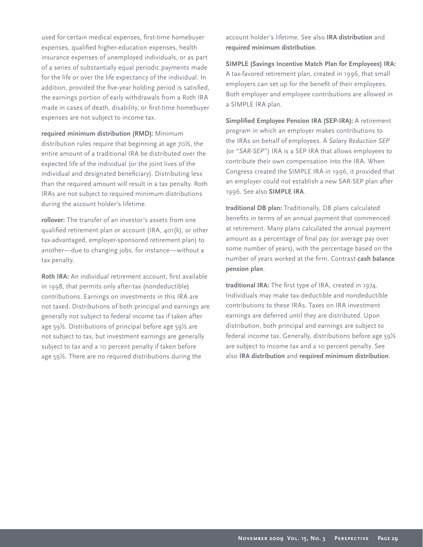used for certain medical expenses, first-time homebuyer expenses, qualified higher-education expenses, health insurance expenses of unemployed individuals, or as part of a series of substantially equal periodic payments made for the life or over the life expectancy of the individual. In addition, provided the five-year holding period is satisfied, the earnings portion of early withdrawals from a Roth IRA made in cases of death, disability, or first-time homebuyer expenses are not subject to income tax.

**required minimum distribution (RMD):** Minimum distribution rules require that beginning at age 70½, the entire amount of a traditional IRA be distributed over the expected life of the individual (or the joint lives of the individual and designated beneficiary). Distributing less than the required amount will result in a tax penalty. Roth IRAs are not subject to required minimum distributions during the account holder's lifetime.

**rollover:** The transfer of an investor's assets from one qualified retirement plan or account (IRA,  $401(k)$ , or other tax-advantaged, employer-sponsored retirement plan) to another—due to changing jobs, for instance—without a tax penalty.

**Roth IRA:** An individual retirement account, first available in 1998, that permits only after-tax (nondeductible) contributions. Earnings on investments in this IRA are not taxed. Distributions of both principal and earnings are generally not subject to federal income tax if taken after age 59½. Distributions of principal before age 59½ are not subject to tax, but investment earnings are generally subject to tax and a 10 percent penalty if taken before age 59½. There are no required distributions during the

account holder's lifetime. See also **IRA distribution** and **required minimum distribution**.

**SIMPLE (Savings Incentive Match Plan for Employees) IRA:**  A tax-favored retirement plan, created in 1996, that small employers can set up for the benefit of their employees. Both employer and employee contributions are allowed in a SIMPLE IRA plan.

**Simplified Employee Pension IRA (SEP-IRA):** A retirement program in which an employer makes contributions to the IRAs on behalf of employees. A *Salary Reduction SEP* (or "*SAR-SEP*") IRA is a SEP IRA that allows employees to contribute their own compensation into the IRA. When Congress created the SIMPLE IRA in 1996, it provided that an employer could not establish a new SAR-SEP plan after 1996. See also **SIMPLE IRA**.

**traditional DB plan:** Traditionally, DB plans calculated benefits in terms of an annual payment that commenced at retirement. Many plans calculated the annual payment amount as a percentage of final pay (or average pay over some number of years), with the percentage based on the number of years worked at the firm. Contrast cash balance **pension plan**.

traditional IRA: The first type of IRA, created in 1974. Individuals may make tax-deductible and nondeductible contributions to these IRAs. Taxes on IRA investment earnings are deferred until they are distributed. Upon distribution, both principal and earnings are subject to federal income tax. Generally, distributions before age 59½ are subject to income tax and a 10 percent penalty. See also **IRA distribution** and **required minimum distribution**.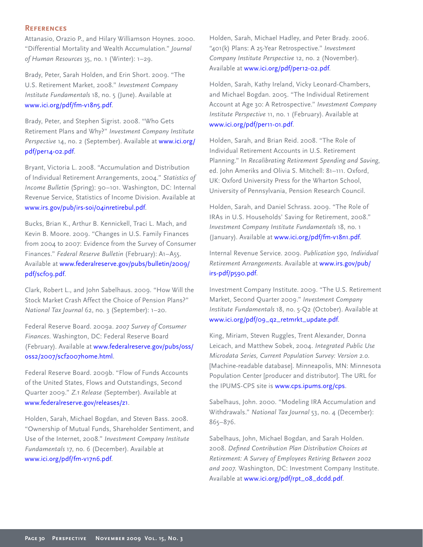### **References**

Attanasio, Orazio P., and Hilary Williamson Hoynes. 2000. "Differential Mortality and Wealth Accumulation." *Journal of Human Resources* 35, no. 1 (Winter): 1–29.

Brady, Peter, Sarah Holden, and Erin Short. 2009. "The U.S. Retirement Market, 2008." *Investment Company Institute Fundamentals* 18, no. 5 (June). Available at www.[ici.org/pdf/fm-v18n5.pdf.](http://www.ici.org/pdf/fm-v18n5.pdf)

Brady, Peter, and Stephen Sigrist. 2008. "Who Gets Retirement Plans and Why?" *Investment Company Institute Perspective* 14, no. 2 (September). Available a[t www.ici.org/](http://www.ici.org/pdf/per14-02.pdf) [pdf/per14-02.pdf.](http://www.ici.org/pdf/per14-02.pdf)

Bryant, Victoria L. 2008. "Accumulation and Distribution of Individual Retirement Arrangements, 2004." *Statistics of Income Bulletin* (Spring): 90–101. Washington, DC: Internal Revenue Service, Statistics of Income Division. Available at [www.irs.gov/pub/irs-soi/04inretirebul.pdf.](http://www.irs.gov/pub/irs-soi/04inretirebul.pdf)

Bucks, Brian K., Arthur B. Kennickell, Traci L. Mach, and Kevin B. Moore. 2009. "Changes in U.S. Family Finances from 2004 to 2007: Evidence from the Survey of Consumer Finances." *Federal Reserve Bulletin* (February): A1–A55. Available at [www.federalreserve.gov/pubs/bulletin/2009/](http://www.federalreserve.gov/pubs/bulletin/2009/pdf/scf09.pdf) [pdf/scf09.pdf.](http://www.federalreserve.gov/pubs/bulletin/2009/pdf/scf09.pdf)

Clark, Robert L., and John Sabelhaus. 2009. "How Will the Stock Market Crash Affect the Choice of Pension Plans?" *National Tax Journal* 62, no. 3 (September): 1–20.

Federal Reserve Board. 2009a. *2007 Survey of Consumer Finances*. Washington, DC: Federal Reserve Board (February). Available at [www.federalreserve.gov/pubs/oss/](http://www.federalreserve.gov/pubs/oss/oss2/2007/scf2007home.html) [oss2/2007/scf2007home.html.](http://www.federalreserve.gov/pubs/oss/oss2/2007/scf2007home.html) 

Federal Reserve Board. 2009b. "Flow of Funds Accounts of the United States, Flows and Outstandings, Second Quarter 2009." *Z.1 Release* (September). Available at [www.federalreserve.gov/releases/z1.](http://www.federalreserve.gov/releases/z1) 

Holden, Sarah, Michael Bogdan, and Steven Bass. 2008. "Ownership of Mutual Funds, Shareholder Sentiment, and Use of the Internet, 2008." *Investment Company Institute Fundamentals* 17, no. 6 (December). Available at [www.ici.org/pdf/fm-v17n6.pdf.](http://www.ici.org/pdf/fm-v17n6.pdf)

Holden, Sarah, Michael Hadley, and Peter Brady. 2006. "401(k) Plans: A 25-Year Retrospective." *Investment Company Institute Perspective* 12, no. 2 (November). Available a[t www.ici.org/pdf/per12-02.pdf.](http://www.ici.org/pdf/per12-02.pdf) 

Holden, Sarah, Kathy Ireland, Vicky Leonard-Chambers, and Michael Bogdan. 2005. "The Individual Retirement Account at Age 30: A Retrospective." *Investment Company Institute Perspective* 11, no. 1 (February). Available at [www.ici.org/pdf/per11-01.pdf.](http://www.ici.org/pdf/per11-01.pdf)

Holden, Sarah, and Brian Reid. 2008. "The Role of Individual Retirement Accounts in U.S. Retirement Planning." In *Recalibrating Retirement Spending and Saving*, ed. John Ameriks and Olivia S. Mitchell: 81–111. Oxford, UK: Oxford University Press for the Wharton School, University of Pennsylvania, Pension Research Council.

Holden, Sarah, and Daniel Schrass. 2009. "The Role of IRAs in U.S. Households' Saving for Retirement, 2008." *Investment Company Institute Fundamentals* 18, no. 1 (January). Available at [www.ici.org/pdf/fm-v18n1.pdf.](http://www.ici.org/pdf/fm-v18n1.pdf)

Internal Revenue Service. 2009. *Publication 590, Individual Retirement Arrangements*. Available a[t www.irs.gov/pub/](http://www.irs.gov/pub/irs-pdf/p590.pdf) [irs-pdf/p590.pdf.](http://www.irs.gov/pub/irs-pdf/p590.pdf)

Investment Company Institute. 2009. "The U.S. Retirement Market, Second Quarter 2009." *Investment Company Institute Fundamentals* 18, no. 5-Q2 (October). Available at [www.ici.org/pdf/09\\_q2\\_retmrkt\\_update.pdf.](http://www.ici.org/pdf/09_q2_retmrkt_update.pdf)

King, Miriam, Steven Ruggles, Trent Alexander, Donna Leicach, and Matthew Sobek, 2004. *Integrated Public Use Microdata Series, Current Population Survey: Version 2.0.*  [Machine-readable database]. Minneapolis, MN: Minnesota Population Center [producer and distributor]. The URL for the IPUMS-CPS site i[s www.cps.ipums.org/cps.](http://www.cps.ipums.org/cps)

Sabelhaus, John. 2000. "Modeling IRA Accumulation and Withdrawals." *National Tax Journal* 53, no. 4 (December): 865–876.

Sabelhaus, John, Michael Bogdan, and Sarah Holden. 2008. *Defi ned Contribution Plan Distribution Choices at Retirement: A Survey of Employees Retiring Between 2002 and 2007.* Washington, DC: Investment Company Institute. Available at [www.ici.org/pdf/rpt\\_08\\_dcdd.pdf.](http://www.ici.org/pdf/rpt_08_dcdd.pdf)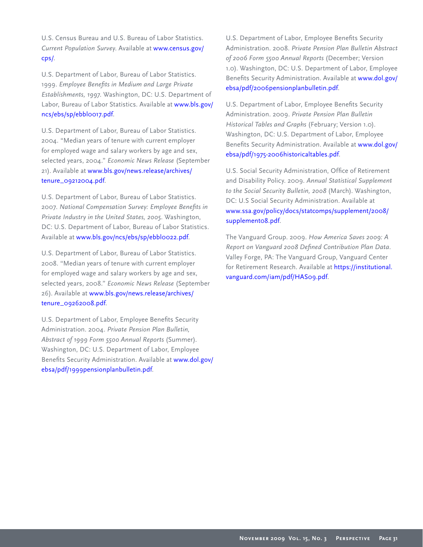U.S. Census Bureau and U.S. Bureau of Labor Statistics. *Current Population Survey*. Available a[t www.census.gov/](http://www.census.gov/cps/) [cps/.](http://www.census.gov/cps/)

U.S. Department of Labor, Bureau of Labor Statistics. 1999. *Employee Benefits in Medium and Large Private Establishments, 1997*. Washington, DC: U.S. Department of Labor, Bureau of Labor Statistics. Available a[t www.bls.gov/](http://www.bls.gov/ncs/ebs/sp/ebbl0017.pdf) ncs/ebs/sp/ebbloo17.pdf.

U.S. Department of Labor, Bureau of Labor Statistics. 2004. "Median years of tenure with current employer for employed wage and salary workers by age and sex, selected years, 2004." *Economic News Release* (September 21). Available a[t www.bls.gov/news.release/archives/](http://www.bls.gov/news.release/archives/tenure_09212004.pdf) [tenure\\_09212004.pdf.](http://www.bls.gov/news.release/archives/tenure_09212004.pdf)

U.S. Department of Labor, Bureau of Labor Statistics. 2007. National Compensation Survey: Employee Benefits in *Private Industry in the United States, 2005*. Washington, DC: U.S. Department of Labor, Bureau of Labor Statistics. Available a[t www.bls.gov/ncs/ebs/sp/ebbl0022.pdf.](http://www.bls.gov/ncs/ebs/sp/ebbl0022.pdf)

U.S. Department of Labor, Bureau of Labor Statistics. 2008. "Median years of tenure with current employer for employed wage and salary workers by age and sex, selected years, 2008." *Economic News Release* (September 26). Available a[t www.bls.gov/news.release/archives/](http://www.bls.gov/news.release/archives/tenure_09262008.pdf) [tenure\\_09262008.pdf.](http://www.bls.gov/news.release/archives/tenure_09262008.pdf)

U.S. Department of Labor, Employee Benefits Security Administration. 2004. *Private Pension Plan Bulletin, Abstract of 1999 Form 5500 Annual Reports* (Summer). Washington, DC: U.S. Department of Labor, Employee Benefits Security Administration. Available at [www.dol.gov/](http://www.dol.gov/ebsa/pdf/1999pensionplanbulletin.pdf) [ebsa/pdf/1999pensionplanbulletin.pdf.](http://www.dol.gov/ebsa/pdf/1999pensionplanbulletin.pdf) 

U.S. Department of Labor, Employee Benefits Security Administration. 2008. *Private Pension Plan Bulletin Abstract of 2006 Form 5500 Annual Reports* (December; Version 1.0). Washington, DC: U.S. Department of Labor, Employee Benefits Security Administration. Available at [www.dol.gov/](http://www.dol.gov/ebsa/pdf/2006pensionplanbulletin.pdf) [ebsa/pdf/2006pensionplanbulletin.pdf.](http://www.dol.gov/ebsa/pdf/2006pensionplanbulletin.pdf) 

U.S. Department of Labor, Employee Benefits Security Administration. 2009. *Private Pension Plan Bulletin Historical Tables and Graphs* (February; Version 1.0). Washington, DC: U.S. Department of Labor, Employee Benefits Security Administration. Available a[t www.dol.gov/](http://www.dol.gov/ebsa/pdf/1975-2006historicaltables.pdf) [ebsa/pdf/1975-2006historicaltables.pdf.](http://www.dol.gov/ebsa/pdf/1975-2006historicaltables.pdf)

U.S. Social Security Administration, Office of Retirement and Disability Policy. 2009. *Annual Statistical Supplement to the Social Security Bulletin, 2008* (March). Washington, DC: U.S Social Security Administration. Available at [www.ssa.gov/policy/docs/statcomps/supplement/2008/](http://www.ssa.gov/policy/docs/statcomps/supplement/2008/supplement08.pdf) [supplement08.pdf.](http://www.ssa.gov/policy/docs/statcomps/supplement/2008/supplement08.pdf)

The Vanguard Group. 2009. *How America Saves 2009: A Report on Vanguard 2008 Defi ned Contribution Plan Data*. Valley Forge, PA: The Vanguard Group, Vanguard Center for Retirement Research. Available a[t https://institutional.](https://institutional.vanguard.com/iam/pdf/HAS09.pdf) [vanguard.com/iam/pdf/HAS09.pdf.](https://institutional.vanguard.com/iam/pdf/HAS09.pdf)